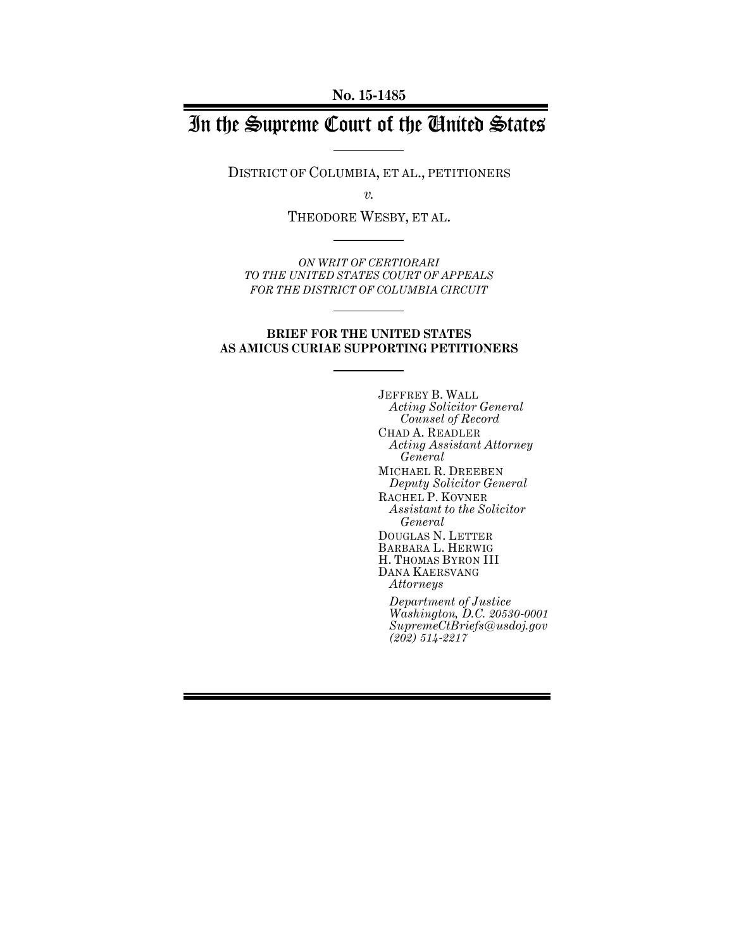# In the Supreme Court of the United States

DISTRICT OF COLUMBIA, ET AL., PETITIONERS

*v.*

THEODORE WESBY, ET AL.

*ON WRIT OF CERTIORARI TO THE UNITED STATES COURT OF APPEALS FOR THE DISTRICT OF COLUMBIA CIRCUIT*

#### **BRIEF FOR THE UNITED STATES AS AMICUS CURIAE SUPPORTING PETITIONERS**

JEFFREY B. WALL *Acting Solicitor General Counsel of Record* CHAD A. READLER *Acting Assistant Attorney General*  MICHAEL R. DREEBEN *Deputy Solicitor General* RACHEL P. KOVNER *Assistant to the Solicitor General* DOUGLAS N. LETTER BARBARA L. HERWIG H. THOMAS BYRON III DANA KAERSVANG *Attorneys Department of Justice Washington, D.C. 20530-0001 SupremeCtBriefs@usdoj.gov (202) 514-2217*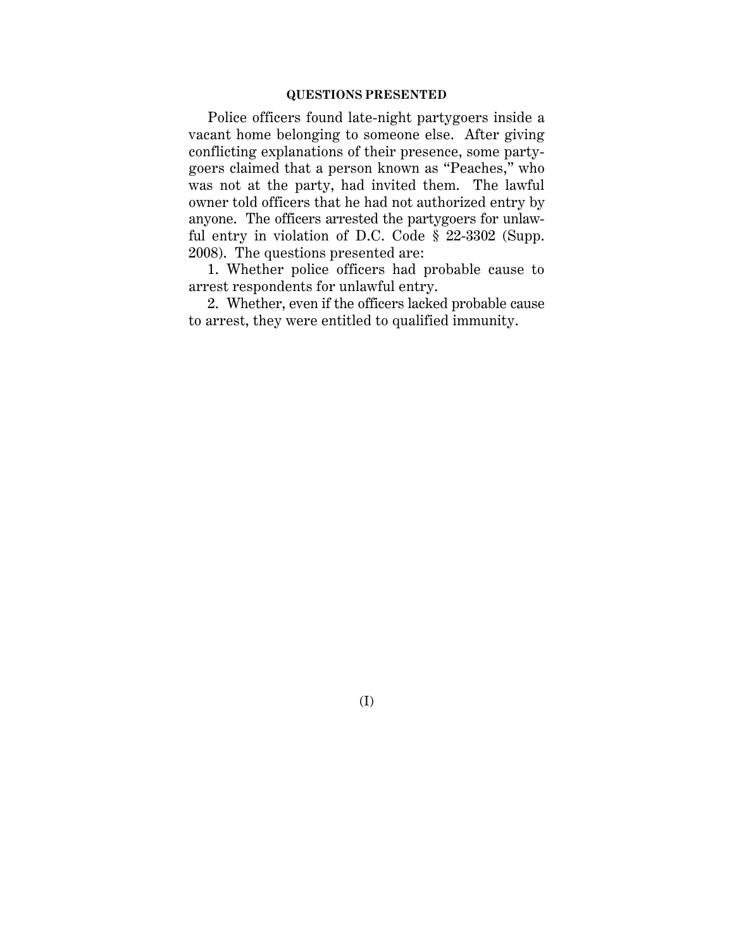## **QUESTIONS PRESENTED**

Police officers found late-night partygoers inside a vacant home belonging to someone else. After giving conflicting explanations of their presence, some partygoers claimed that a person known as "Peaches," who was not at the party, had invited them. The lawful owner told officers that he had not authorized entry by anyone. The officers arrested the partygoers for unlawful entry in violation of D.C. Code § 22-3302 (Supp. 2008). The questions presented are:

1. Whether police officers had probable cause to arrest respondents for unlawful entry.

2. Whether, even if the officers lacked probable cause to arrest, they were entitled to qualified immunity.

(I)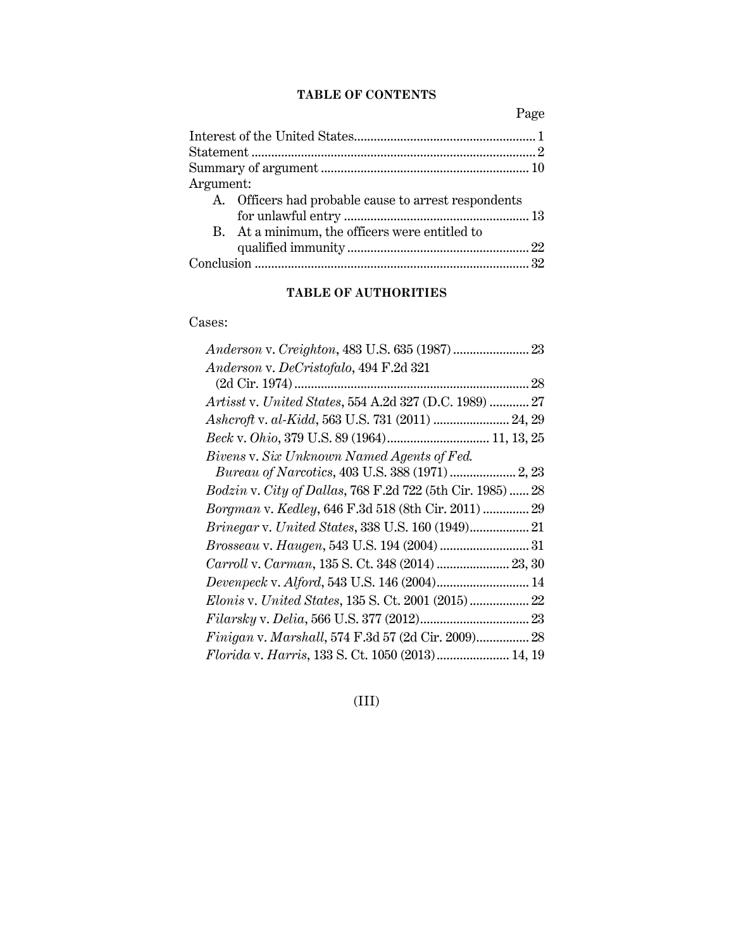# **TABLE OF CONTENTS**

Page

| Argument:                                            |  |
|------------------------------------------------------|--|
| A. Officers had probable cause to arrest respondents |  |
|                                                      |  |
| B. At a minimum, the officers were entitled to       |  |
|                                                      |  |
|                                                      |  |

# **TABLE OF AUTHORITIES**

# Cases:

| Anderson v. DeCristofalo, 494 F.2d 321                     |  |
|------------------------------------------------------------|--|
|                                                            |  |
| Artisst v. United States, 554 A.2d 327 (D.C. 1989)  27     |  |
| Ashcroft v. al-Kidd, 563 U.S. 731 (2011)  24, 29           |  |
| Beck v. Ohio, 379 U.S. 89 (1964) 11, 13, 25                |  |
| Bivens v. Six Unknown Named Agents of Fed.                 |  |
| Bureau of Narcotics, 403 U.S. 388 (1971)  2, 23            |  |
| Bodzin v. City of Dallas, 768 F.2d 722 (5th Cir. 1985)  28 |  |
| Borgman v. Kedley, 646 F.3d 518 (8th Cir. 2011)  29        |  |
|                                                            |  |
|                                                            |  |
| Carroll v. Carman, 135 S. Ct. 348 (2014)  23, 30           |  |
| Devenpeck v. Alford, 543 U.S. 146 (2004) 14                |  |
|                                                            |  |
|                                                            |  |
| Finigan v. Marshall, 574 F.3d 57 (2d Cir. 2009) 28         |  |
| Florida v. Harris, 133 S. Ct. 1050 (2013) 14, 19           |  |
|                                                            |  |

(III)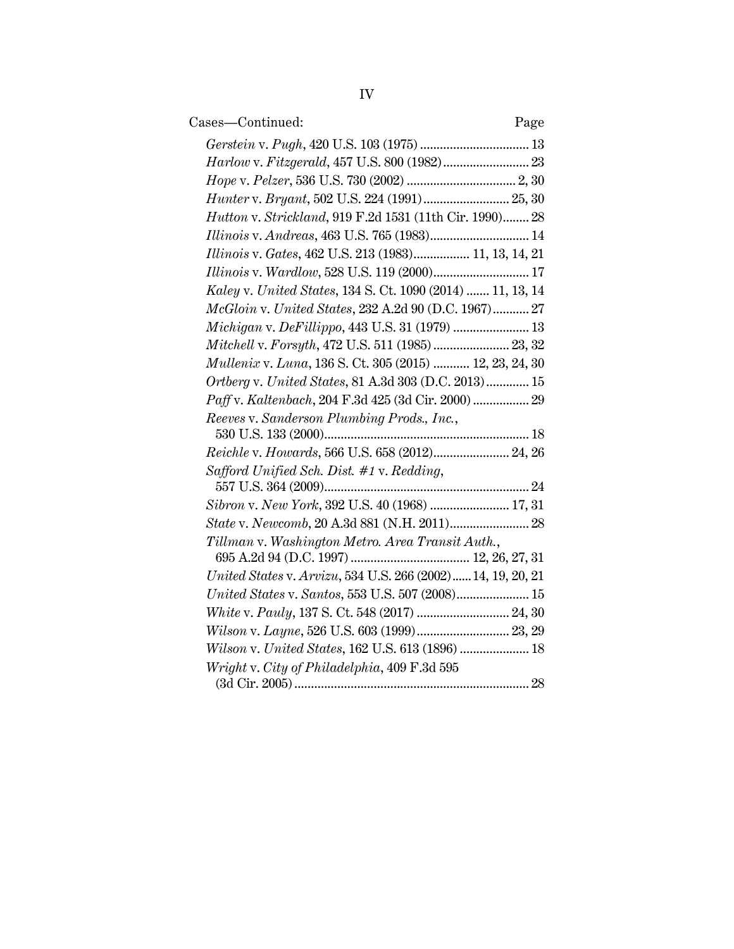| Cases-Continued:                                            | Page |
|-------------------------------------------------------------|------|
|                                                             |      |
|                                                             |      |
|                                                             |      |
| Hunter v. Bryant, 502 U.S. 224 (1991) 25, 30                |      |
| Hutton v. Strickland, 919 F.2d 1531 (11th Cir. 1990) 28     |      |
| Illinois v. Andreas, 463 U.S. 765 (1983) 14                 |      |
| Illinois v. Gates, 462 U.S. 213 (1983) 11, 13, 14, 21       |      |
| Illinois v. Wardlow, 528 U.S. 119 (2000) 17                 |      |
| Kaley v. United States, 134 S. Ct. 1090 (2014)  11, 13, 14  |      |
| McGloin v. United States, 232 A.2d 90 (D.C. 1967) 27        |      |
| Michigan v. DeFillippo, 443 U.S. 31 (1979)  13              |      |
| Mitchell v. Forsyth, 472 U.S. 511 (1985) 23, 32             |      |
| Mullenix v. Luna, 136 S. Ct. 305 (2015)  12, 23, 24, 30     |      |
| Ortberg v. United States, 81 A.3d 303 (D.C. 2013) 15        |      |
| Paff v. Kaltenbach, 204 F.3d 425 (3d Cir. 2000)  29         |      |
| Reeves v. Sanderson Plumbing Prods., Inc.,                  |      |
|                                                             |      |
| Reichle v. Howards, 566 U.S. 658 (2012) 24, 26              |      |
| Safford Unified Sch. Dist. #1 v. Redding,                   |      |
|                                                             |      |
| Sibron v. New York, 392 U.S. 40 (1968)  17, 31              |      |
|                                                             |      |
| Tillman v. Washington Metro. Area Transit Auth.,            |      |
| United States v. Arvizu, 534 U.S. 266 (2002) 14, 19, 20, 21 |      |
| United States v. Santos, 553 U.S. 507 (2008) 15             |      |
|                                                             |      |
| Wilson v. Layne, 526 U.S. 603 (1999) 23, 29                 |      |
| Wilson v. United States, 162 U.S. 613 (1896)  18            |      |
| Wright v. City of Philadelphia, 409 F.3d 595                |      |
|                                                             |      |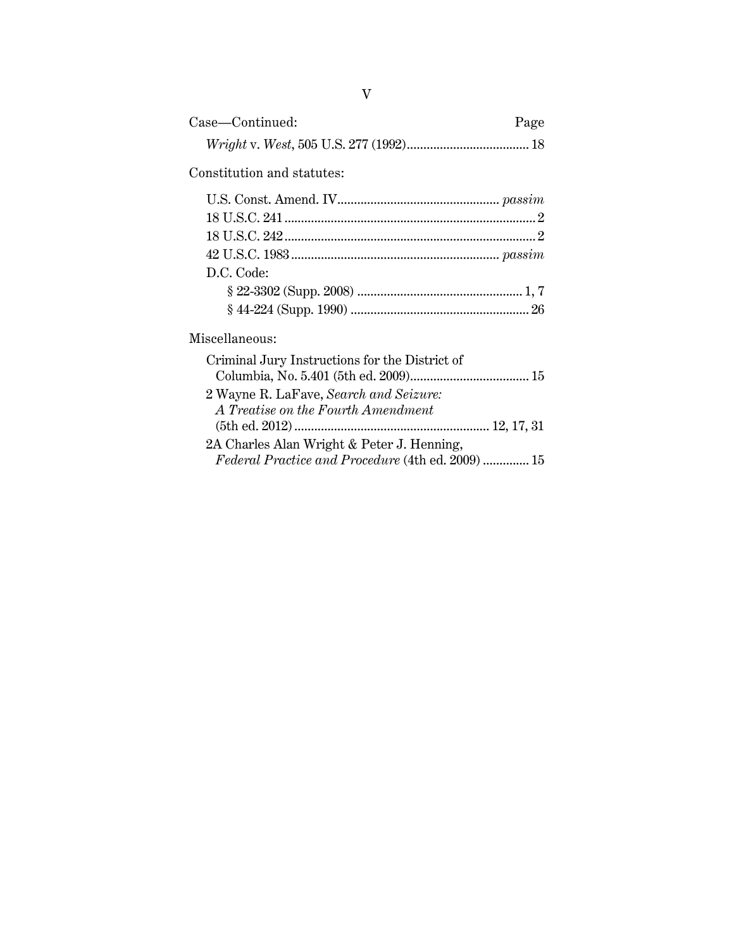| Case-Continued:                                          | Page |
|----------------------------------------------------------|------|
|                                                          |      |
| Constitution and statutes:                               |      |
|                                                          |      |
|                                                          |      |
|                                                          |      |
|                                                          |      |
| D.C. Code:                                               |      |
|                                                          |      |
|                                                          |      |
| Miscellaneous:                                           |      |
| Criminal Jury Instructions for the District of           |      |
|                                                          |      |
| 2 Wayne R. LaFave, Search and Seizure:                   |      |
| A Treatise on the Fourth Amendment                       |      |
|                                                          |      |
| 2A Charles Alan Wright & Peter J. Henning,               |      |
| <i>Federal Practice and Procedure</i> (4th ed. 2009)  15 |      |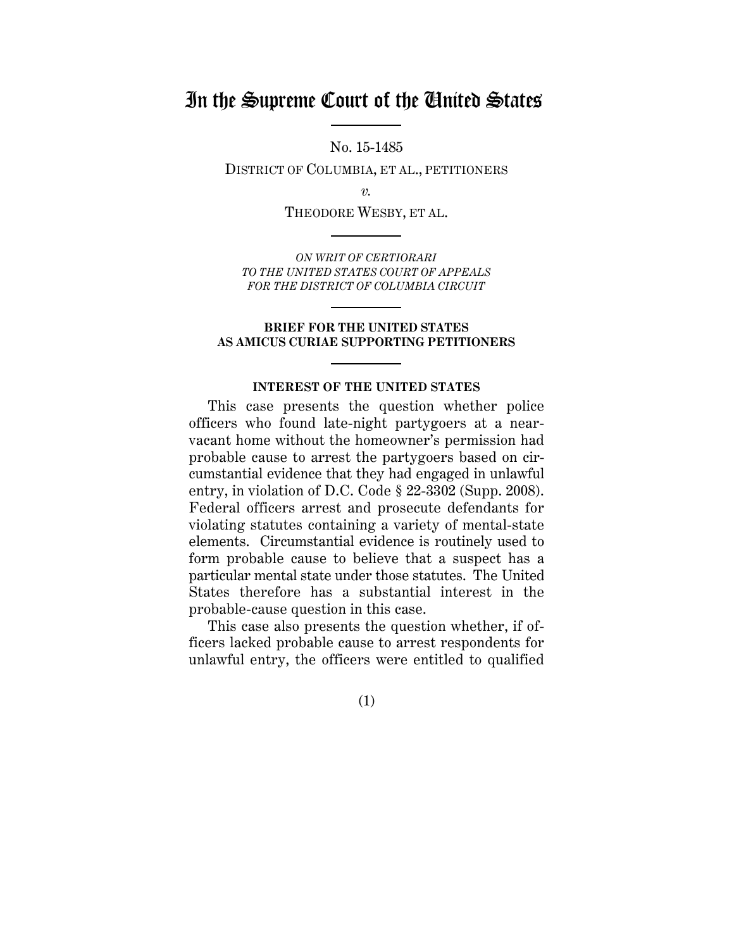# In the Supreme Court of the United States

No. 15-1485

DISTRICT OF COLUMBIA, ET AL., PETITIONERS

*v.*

THEODORE WESBY, ET AL.

*ON WRIT OF CERTIORARI TO THE UNITED STATES COURT OF APPEALS FOR THE DISTRICT OF COLUMBIA CIRCUIT*

### **BRIEF FOR THE UNITED STATES AS AMICUS CURIAE SUPPORTING PETITIONERS**

#### **INTEREST OF THE UNITED STATES**

This case presents the question whether police officers who found late-night partygoers at a nearvacant home without the homeowner's permission had probable cause to arrest the partygoers based on circumstantial evidence that they had engaged in unlawful entry, in violation of D.C. Code § 22-3302 (Supp. 2008). Federal officers arrest and prosecute defendants for violating statutes containing a variety of mental-state elements. Circumstantial evidence is routinely used to form probable cause to believe that a suspect has a particular mental state under those statutes. The United States therefore has a substantial interest in the probable-cause question in this case.

This case also presents the question whether, if officers lacked probable cause to arrest respondents for unlawful entry, the officers were entitled to qualified

(1)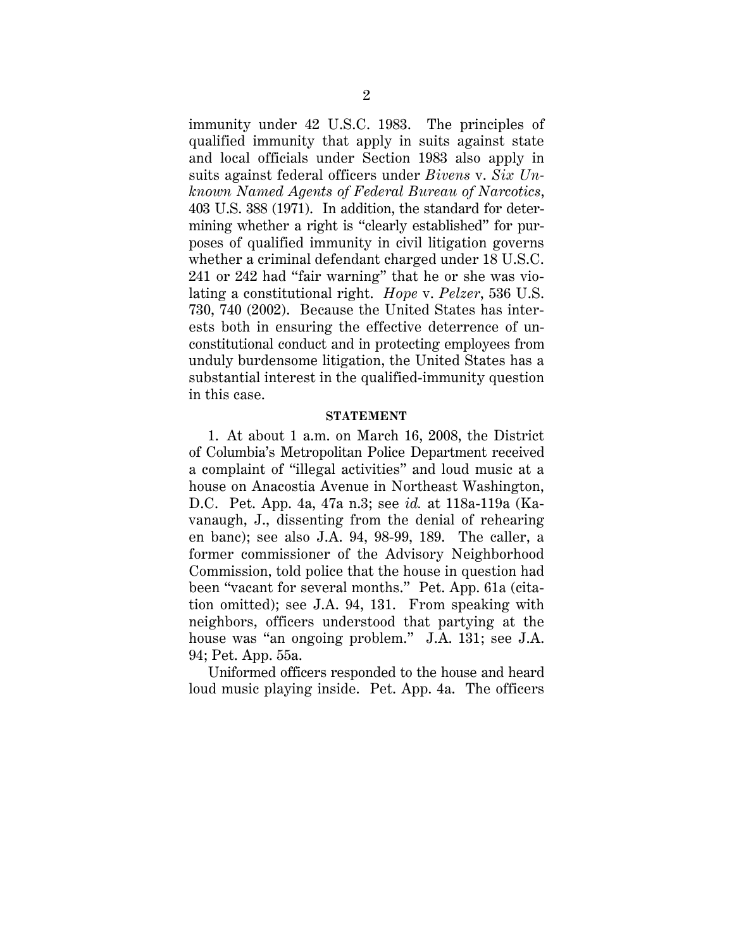immunity under 42 U.S.C. 1983. The principles of qualified immunity that apply in suits against state and local officials under Section 1983 also apply in suits against federal officers under *Bivens* v. *Six Unknown Named Agents of Federal Bureau of Narcotics*, 403 U.S. 388 (1971). In addition, the standard for determining whether a right is "clearly established" for purposes of qualified immunity in civil litigation governs whether a criminal defendant charged under 18 U.S.C. 241 or 242 had "fair warning" that he or she was violating a constitutional right. *Hope* v. *Pelzer*, 536 U.S. 730, 740 (2002). Because the United States has interests both in ensuring the effective deterrence of unconstitutional conduct and in protecting employees from unduly burdensome litigation, the United States has a substantial interest in the qualified-immunity question in this case.

## **STATEMENT**

1. At about 1 a.m. on March 16, 2008, the District of Columbia's Metropolitan Police Department received a complaint of "illegal activities" and loud music at a house on Anacostia Avenue in Northeast Washington, D.C. Pet. App. 4a, 47a n.3; see *id.* at 118a-119a (Kavanaugh, J., dissenting from the denial of rehearing en banc); see also J.A. 94, 98-99, 189. The caller, a former commissioner of the Advisory Neighborhood Commission, told police that the house in question had been "vacant for several months." Pet. App. 61a (citation omitted); see J.A. 94, 131. From speaking with neighbors, officers understood that partying at the house was "an ongoing problem." J.A. 131; see J.A. 94; Pet. App. 55a.

Uniformed officers responded to the house and heard loud music playing inside. Pet. App. 4a. The officers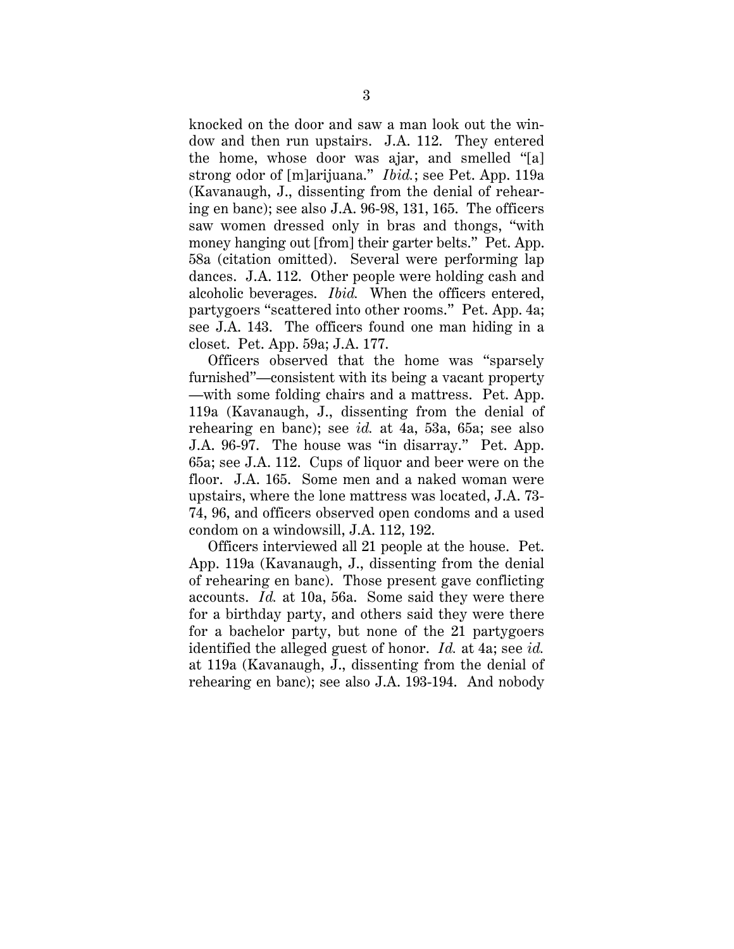knocked on the door and saw a man look out the window and then run upstairs. J.A. 112. They entered the home, whose door was ajar, and smelled "[a] strong odor of [m]arijuana." *Ibid.*; see Pet. App. 119a (Kavanaugh, J., dissenting from the denial of rehearing en banc); see also J.A. 96-98, 131, 165. The officers saw women dressed only in bras and thongs, "with money hanging out [from] their garter belts." Pet. App. 58a (citation omitted). Several were performing lap dances. J.A. 112. Other people were holding cash and alcoholic beverages. *Ibid.* When the officers entered, partygoers "scattered into other rooms." Pet. App. 4a; see J.A. 143. The officers found one man hiding in a closet. Pet. App. 59a; J.A. 177.

Officers observed that the home was "sparsely furnished"—consistent with its being a vacant property —with some folding chairs and a mattress. Pet. App. 119a (Kavanaugh, J., dissenting from the denial of rehearing en banc); see *id.* at 4a, 53a, 65a; see also J.A. 96-97. The house was "in disarray." Pet. App. 65a; see J.A. 112. Cups of liquor and beer were on the floor. J.A. 165. Some men and a naked woman were upstairs, where the lone mattress was located, J.A. 73- 74, 96, and officers observed open condoms and a used condom on a windowsill, J.A. 112, 192.

Officers interviewed all 21 people at the house. Pet. App. 119a (Kavanaugh, J., dissenting from the denial of rehearing en banc). Those present gave conflicting accounts. *Id.* at 10a, 56a. Some said they were there for a birthday party, and others said they were there for a bachelor party, but none of the 21 partygoers identified the alleged guest of honor. *Id.* at 4a; see *id.* at 119a (Kavanaugh, J., dissenting from the denial of rehearing en banc); see also J.A. 193-194. And nobody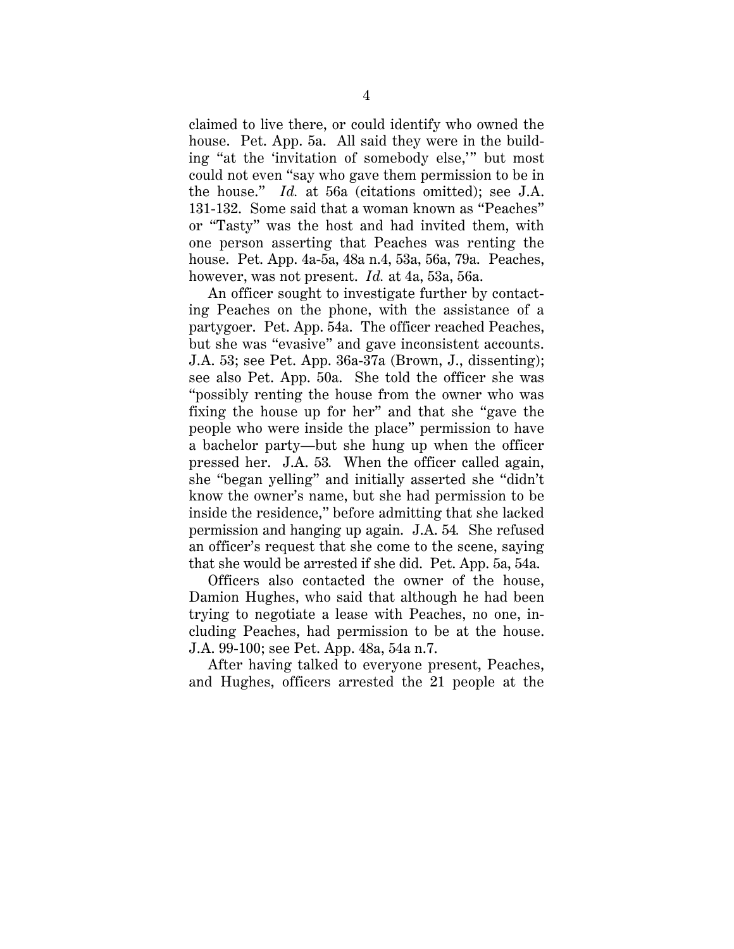claimed to live there, or could identify who owned the house. Pet. App. 5a. All said they were in the building "at the 'invitation of somebody else,'" but most could not even "say who gave them permission to be in the house." *Id.* at 56a (citations omitted); see J.A. 131-132. Some said that a woman known as "Peaches" or "Tasty" was the host and had invited them, with one person asserting that Peaches was renting the house. Pet. App. 4a-5a, 48a n.4, 53a, 56a, 79a. Peaches, however, was not present. *Id.* at 4a, 53a, 56a.

An officer sought to investigate further by contacting Peaches on the phone, with the assistance of a partygoer. Pet. App. 54a. The officer reached Peaches, but she was "evasive" and gave inconsistent accounts. J.A. 53; see Pet. App. 36a-37a (Brown, J., dissenting); see also Pet. App. 50a. She told the officer she was "possibly renting the house from the owner who was fixing the house up for her" and that she "gave the people who were inside the place" permission to have a bachelor party—but she hung up when the officer pressed her. J.A. 53*.* When the officer called again, she "began yelling" and initially asserted she "didn't know the owner's name, but she had permission to be inside the residence," before admitting that she lacked permission and hanging up again. J.A. 54*.* She refused an officer's request that she come to the scene, saying that she would be arrested if she did. Pet. App. 5a, 54a.

Officers also contacted the owner of the house, Damion Hughes, who said that although he had been trying to negotiate a lease with Peaches, no one, including Peaches, had permission to be at the house. J.A. 99-100; see Pet. App. 48a, 54a n.7.

After having talked to everyone present, Peaches, and Hughes, officers arrested the 21 people at the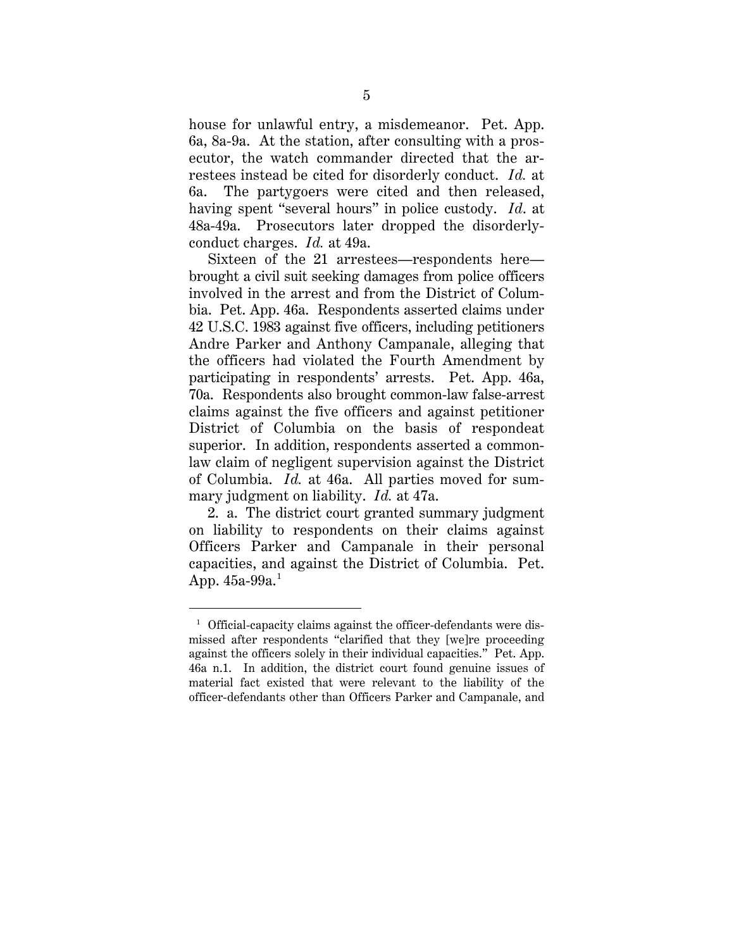house for unlawful entry, a misdemeanor. Pet. App. 6a, 8a-9a. At the station, after consulting with a prosecutor, the watch commander directed that the arrestees instead be cited for disorderly conduct. *Id.* at 6a. The partygoers were cited and then released, having spent "several hours" in police custody. *Id*. at 48a-49a. Prosecutors later dropped the disorderlyconduct charges. *Id.* at 49a.

Sixteen of the 21 arrestees—respondents here brought a civil suit seeking damages from police officers involved in the arrest and from the District of Columbia. Pet. App. 46a. Respondents asserted claims under 42 U.S.C. 1983 against five officers, including petitioners Andre Parker and Anthony Campanale, alleging that the officers had violated the Fourth Amendment by participating in respondents' arrests. Pet. App. 46a, 70a. Respondents also brought common-law false-arrest claims against the five officers and against petitioner District of Columbia on the basis of respondeat superior. In addition, respondents asserted a commonlaw claim of negligent supervision against the District of Columbia. *Id.* at 46a. All parties moved for summary judgment on liability. *Id.* at 47a.

2. a. The district court granted summary judgment on liability to respondents on their claims against Officers Parker and Campanale in their personal capacities, and against the District of Columbia. Pet. App. 45a-99a. $^{\rm 1}$ 

 $\overline{a}$ 

 $1$  Official-capacity claims against the officer-defendants were dismissed after respondents "clarified that they [we]re proceeding against the officers solely in their individual capacities." Pet. App. 46a n.1. In addition, the district court found genuine issues of material fact existed that were relevant to the liability of the officer-defendants other than Officers Parker and Campanale, and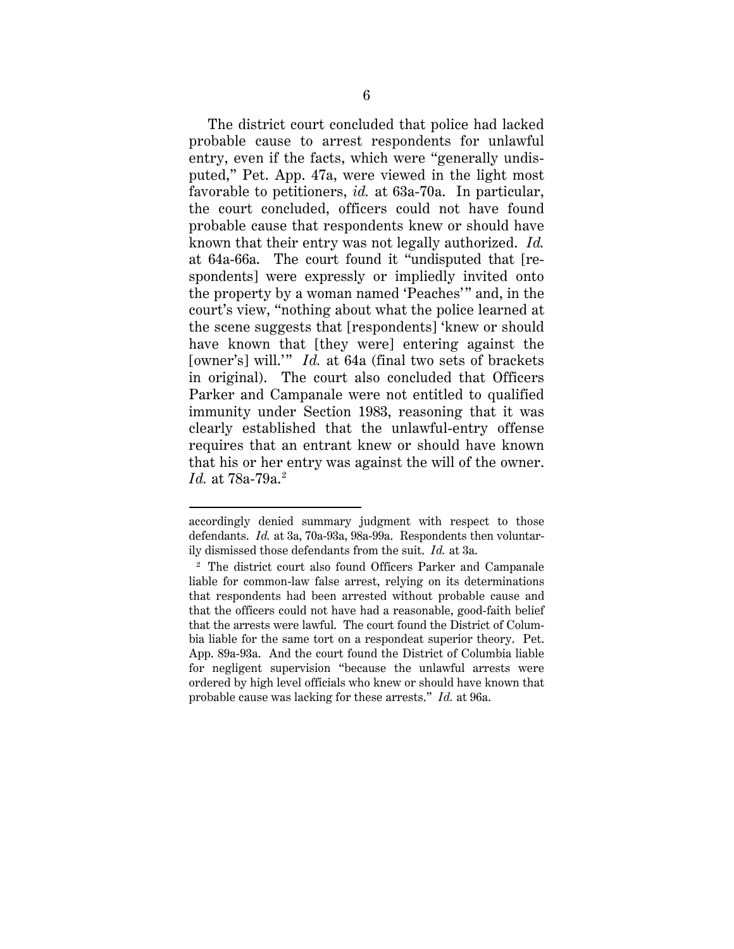The district court concluded that police had lacked probable cause to arrest respondents for unlawful entry, even if the facts, which were "generally undisputed," Pet. App. 47a, were viewed in the light most favorable to petitioners, *id.* at 63a-70a. In particular, the court concluded, officers could not have found probable cause that respondents knew or should have known that their entry was not legally authorized. *Id.* at 64a-66a. The court found it "undisputed that [respondents] were expressly or impliedly invited onto the property by a woman named 'Peaches'" and, in the court's view, "nothing about what the police learned at the scene suggests that [respondents] 'knew or should have known that [they were] entering against the [owner's] will.'" *Id.* at 64a (final two sets of brackets in original). The court also concluded that Officers Parker and Campanale were not entitled to qualified immunity under Section 1983, reasoning that it was clearly established that the unlawful-entry offense requires that an entrant knew or should have known that his or her entry was against the will of the owner. *Id.* at 78a-79a. <sup>2</sup>

 $\overline{a}$ 

accordingly denied summary judgment with respect to those defendants. *Id.* at 3a, 70a-93a, 98a-99a. Respondents then voluntarily dismissed those defendants from the suit. *Id.* at 3a.

<sup>2</sup> The district court also found Officers Parker and Campanale liable for common-law false arrest, relying on its determinations that respondents had been arrested without probable cause and that the officers could not have had a reasonable, good-faith belief that the arrests were lawful. The court found the District of Columbia liable for the same tort on a respondeat superior theory. Pet. App. 89a-93a. And the court found the District of Columbia liable for negligent supervision "because the unlawful arrests were ordered by high level officials who knew or should have known that probable cause was lacking for these arrests." *Id.* at 96a.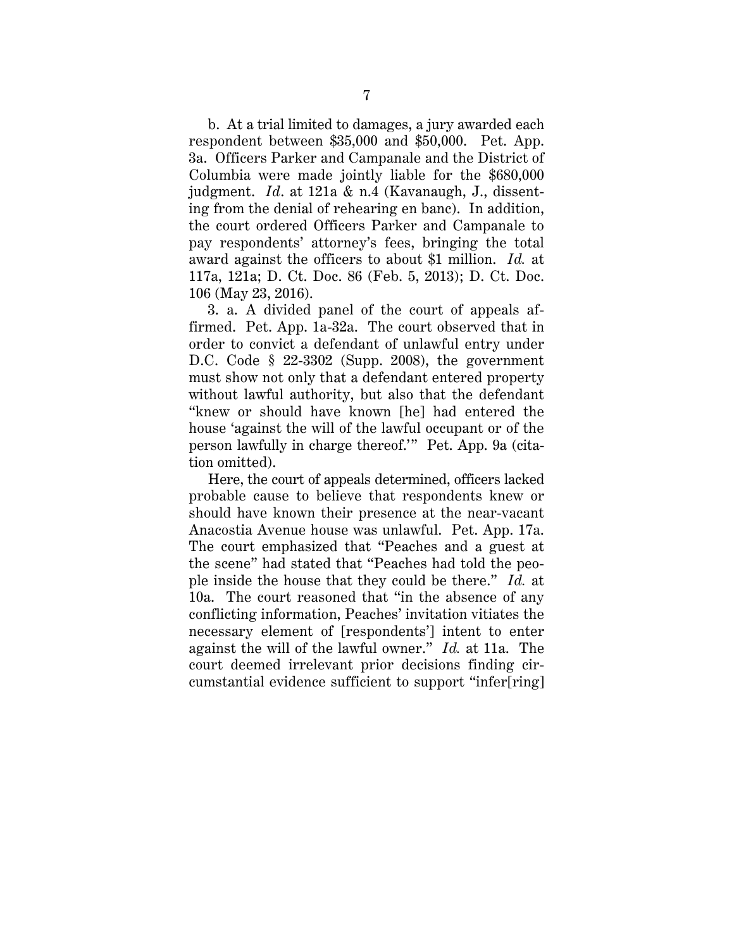b. At a trial limited to damages, a jury awarded each respondent between \$35,000 and \$50,000. Pet. App. 3a. Officers Parker and Campanale and the District of Columbia were made jointly liable for the \$680,000 judgment. *Id*. at 121a & n.4 (Kavanaugh, J., dissenting from the denial of rehearing en banc). In addition, the court ordered Officers Parker and Campanale to pay respondents' attorney's fees, bringing the total award against the officers to about \$1 million. *Id.* at 117a, 121a; D. Ct. Doc. 86 (Feb. 5, 2013); D. Ct. Doc. 106 (May 23, 2016).

3. a. A divided panel of the court of appeals affirmed. Pet. App. 1a-32a. The court observed that in order to convict a defendant of unlawful entry under D.C. Code § 22-3302 (Supp. 2008), the government must show not only that a defendant entered property without lawful authority, but also that the defendant "knew or should have known [he] had entered the house 'against the will of the lawful occupant or of the person lawfully in charge thereof.'" Pet. App. 9a (citation omitted).

Here, the court of appeals determined, officers lacked probable cause to believe that respondents knew or should have known their presence at the near-vacant Anacostia Avenue house was unlawful. Pet. App. 17a. The court emphasized that "Peaches and a guest at the scene" had stated that "Peaches had told the people inside the house that they could be there." *Id.* at 10a. The court reasoned that "in the absence of any conflicting information, Peaches' invitation vitiates the necessary element of [respondents'] intent to enter against the will of the lawful owner." *Id.* at 11a. The court deemed irrelevant prior decisions finding circumstantial evidence sufficient to support "infer[ring]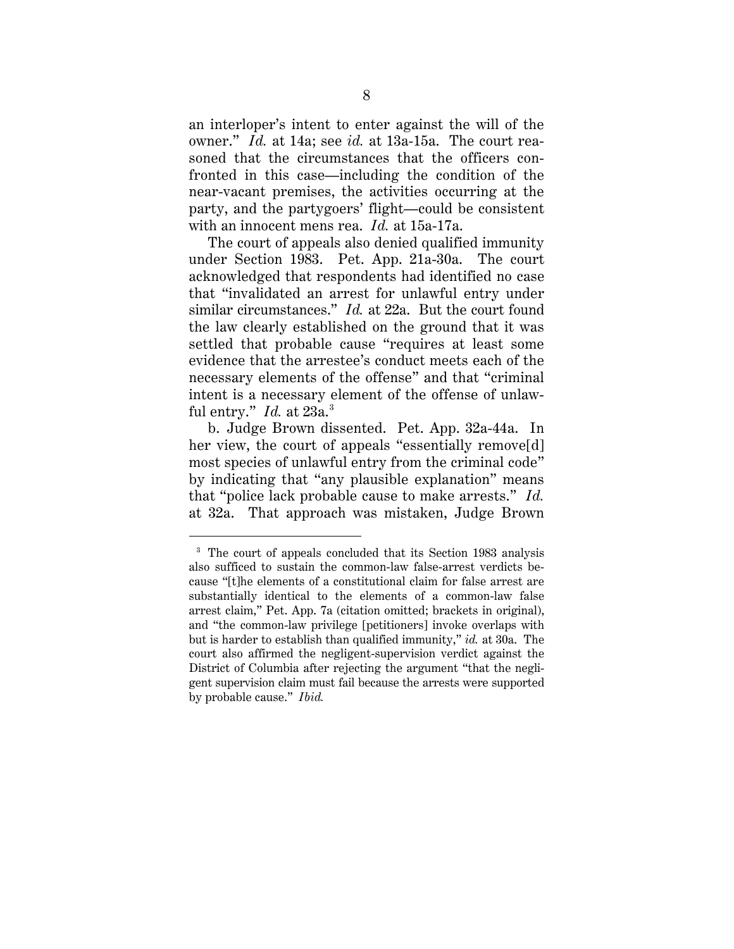an interloper's intent to enter against the will of the owner." *Id.* at 14a; see *id.* at 13a-15a. The court reasoned that the circumstances that the officers confronted in this case—including the condition of the near-vacant premises, the activities occurring at the party, and the partygoers' flight—could be consistent with an innocent mens rea. *Id.* at 15a-17a.

The court of appeals also denied qualified immunity under Section 1983. Pet. App. 21a-30a. The court acknowledged that respondents had identified no case that "invalidated an arrest for unlawful entry under similar circumstances." *Id.* at 22a. But the court found the law clearly established on the ground that it was settled that probable cause "requires at least some evidence that the arrestee's conduct meets each of the necessary elements of the offense" and that "criminal intent is a necessary element of the offense of unlawful entry." *Id.* at 23a. 3

b. Judge Brown dissented. Pet. App. 32a-44a. In her view, the court of appeals "essentially remove[d] most species of unlawful entry from the criminal code" by indicating that "any plausible explanation" means that "police lack probable cause to make arrests." *Id.*  at 32a. That approach was mistaken, Judge Brown

 $\ddot{\phantom{a}}$ 

<sup>&</sup>lt;sup>3</sup> The court of appeals concluded that its Section 1983 analysis also sufficed to sustain the common-law false-arrest verdicts because "[t]he elements of a constitutional claim for false arrest are substantially identical to the elements of a common-law false arrest claim," Pet. App. 7a (citation omitted; brackets in original), and "the common-law privilege [petitioners] invoke overlaps with but is harder to establish than qualified immunity," *id.* at 30a. The court also affirmed the negligent-supervision verdict against the District of Columbia after rejecting the argument "that the negligent supervision claim must fail because the arrests were supported by probable cause." *Ibid.*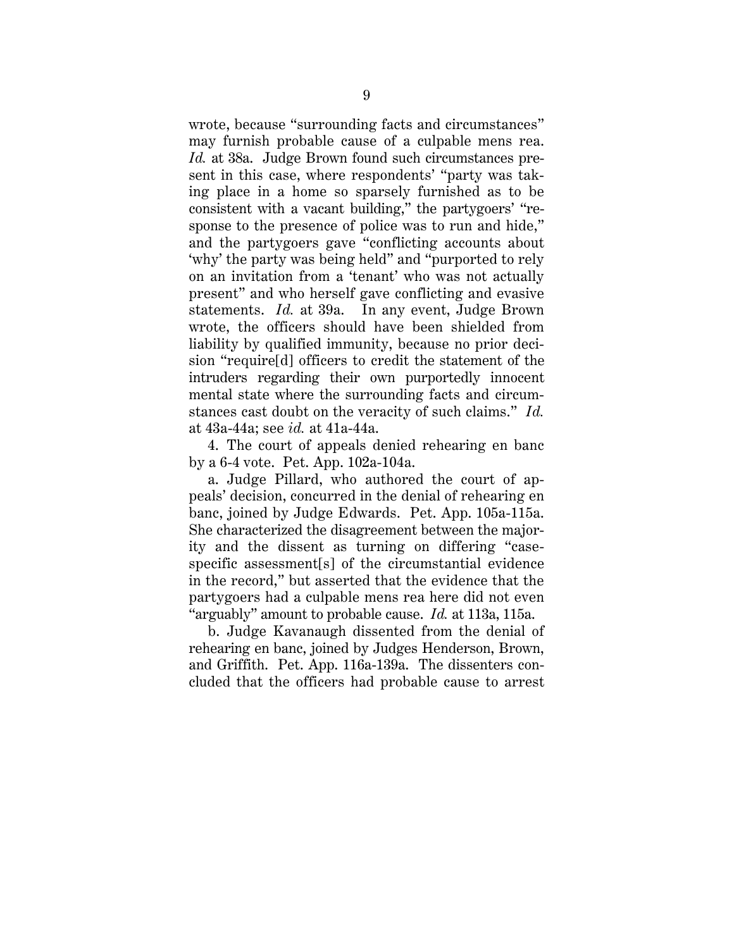wrote, because "surrounding facts and circumstances" may furnish probable cause of a culpable mens rea. *Id.* at 38a. Judge Brown found such circumstances present in this case, where respondents' "party was taking place in a home so sparsely furnished as to be consistent with a vacant building," the partygoers' "response to the presence of police was to run and hide," and the partygoers gave "conflicting accounts about 'why' the party was being held" and "purported to rely on an invitation from a 'tenant' who was not actually present" and who herself gave conflicting and evasive statements. *Id.* at 39a. In any event, Judge Brown wrote, the officers should have been shielded from liability by qualified immunity, because no prior decision "require[d] officers to credit the statement of the intruders regarding their own purportedly innocent mental state where the surrounding facts and circumstances cast doubt on the veracity of such claims." *Id.* at 43a-44a; see *id.* at 41a-44a.

4. The court of appeals denied rehearing en banc by a 6-4 vote. Pet. App. 102a-104a.

a. Judge Pillard, who authored the court of appeals' decision, concurred in the denial of rehearing en banc, joined by Judge Edwards. Pet. App. 105a-115a. She characterized the disagreement between the majority and the dissent as turning on differing "casespecific assessment[s] of the circumstantial evidence in the record," but asserted that the evidence that the partygoers had a culpable mens rea here did not even "arguably" amount to probable cause. *Id.* at 113a, 115a.

b. Judge Kavanaugh dissented from the denial of rehearing en banc, joined by Judges Henderson, Brown, and Griffith. Pet. App. 116a-139a. The dissenters concluded that the officers had probable cause to arrest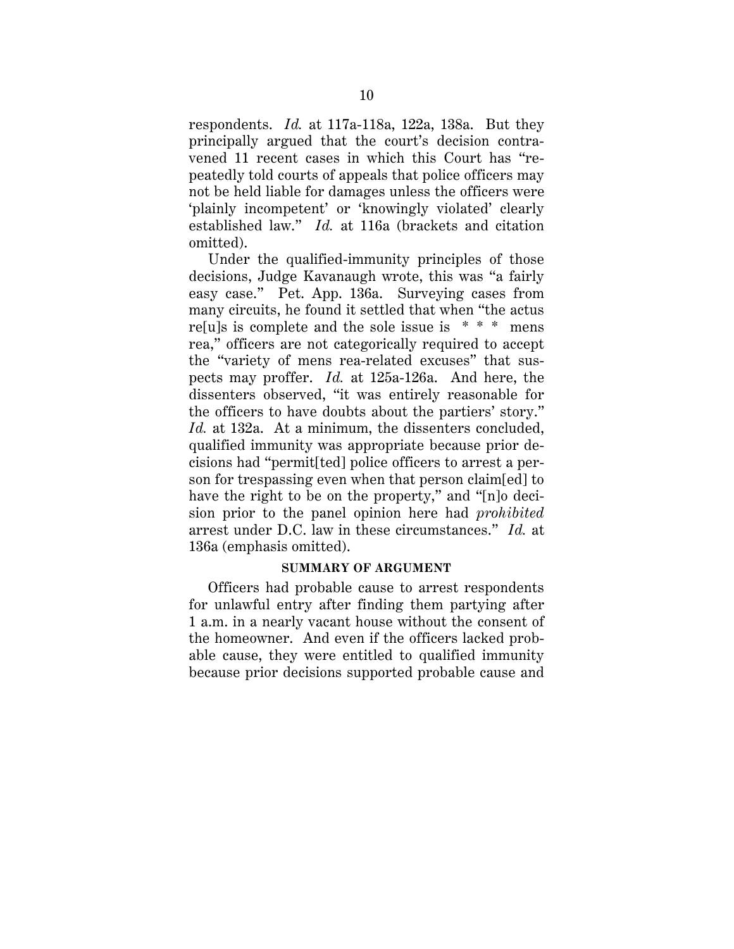respondents. *Id.* at 117a-118a, 122a, 138a. But they principally argued that the court's decision contravened 11 recent cases in which this Court has "repeatedly told courts of appeals that police officers may not be held liable for damages unless the officers were 'plainly incompetent' or 'knowingly violated' clearly established law." *Id.* at 116a (brackets and citation omitted).

Under the qualified-immunity principles of those decisions, Judge Kavanaugh wrote, this was "a fairly easy case." Pet. App. 136a. Surveying cases from many circuits, he found it settled that when "the actus re[u]s is complete and the sole issue is  $* * *$  mens rea," officers are not categorically required to accept the "variety of mens rea-related excuses" that suspects may proffer. *Id.* at 125a-126a. And here, the dissenters observed, "it was entirely reasonable for the officers to have doubts about the partiers' story." *Id.* at 132a. At a minimum, the dissenters concluded, qualified immunity was appropriate because prior decisions had "permit[ted] police officers to arrest a person for trespassing even when that person claim[ed] to have the right to be on the property," and "[n]o decision prior to the panel opinion here had *prohibited* arrest under D.C. law in these circumstances." *Id.* at 136a (emphasis omitted).

## **SUMMARY OF ARGUMENT**

Officers had probable cause to arrest respondents for unlawful entry after finding them partying after 1 a.m. in a nearly vacant house without the consent of the homeowner. And even if the officers lacked probable cause, they were entitled to qualified immunity because prior decisions supported probable cause and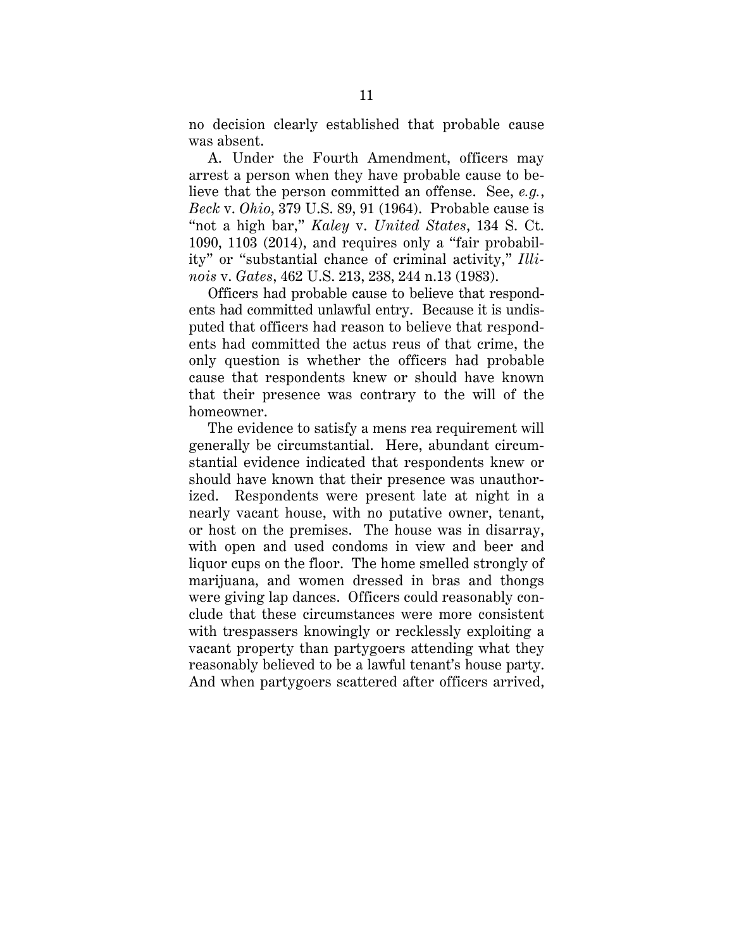no decision clearly established that probable cause was absent.

A. Under the Fourth Amendment, officers may arrest a person when they have probable cause to believe that the person committed an offense. See, *e.g.*, *Beck* v. *Ohio*, 379 U.S. 89, 91 (1964). Probable cause is "not a high bar," *Kaley* v. *United States*, 134 S. Ct. 1090, 1103 (2014), and requires only a "fair probability" or "substantial chance of criminal activity," *Illinois* v. *Gates*, 462 U.S. 213, 238, 244 n.13 (1983).

Officers had probable cause to believe that respondents had committed unlawful entry. Because it is undisputed that officers had reason to believe that respondents had committed the actus reus of that crime, the only question is whether the officers had probable cause that respondents knew or should have known that their presence was contrary to the will of the homeowner.

The evidence to satisfy a mens rea requirement will generally be circumstantial. Here, abundant circumstantial evidence indicated that respondents knew or should have known that their presence was unauthorized. Respondents were present late at night in a nearly vacant house, with no putative owner, tenant, or host on the premises. The house was in disarray, with open and used condoms in view and beer and liquor cups on the floor. The home smelled strongly of marijuana, and women dressed in bras and thongs were giving lap dances. Officers could reasonably conclude that these circumstances were more consistent with trespassers knowingly or recklessly exploiting a vacant property than partygoers attending what they reasonably believed to be a lawful tenant's house party. And when partygoers scattered after officers arrived,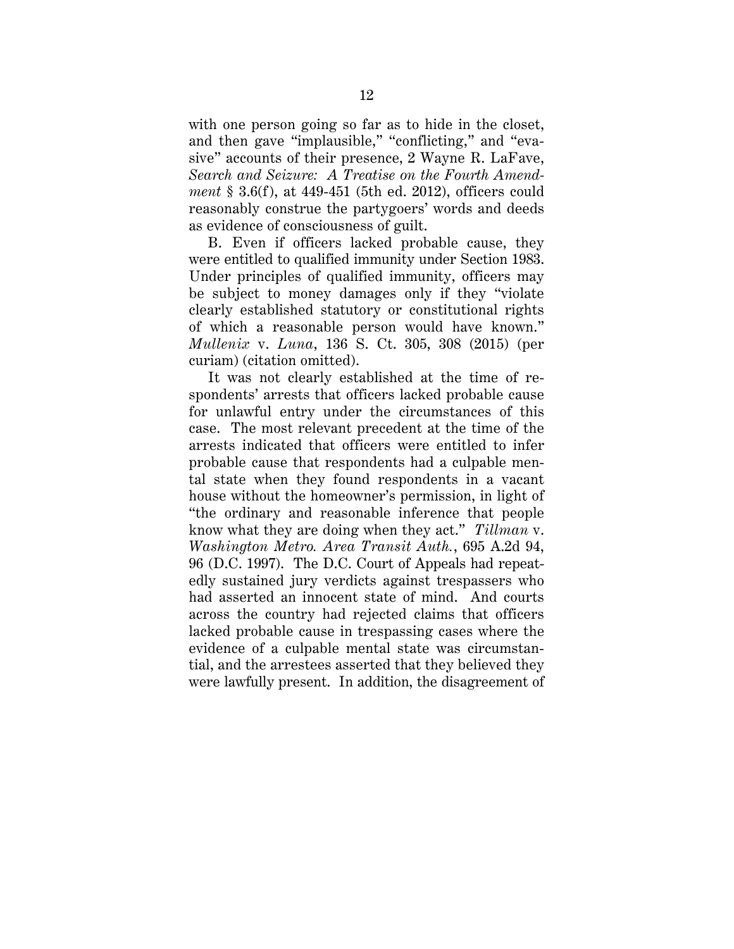with one person going so far as to hide in the closet, and then gave "implausible," "conflicting," and "evasive" accounts of their presence, 2 Wayne R. LaFave, *Search and Seizure: A Treatise on the Fourth Amendment* § 3.6(f), at 449-451 (5th ed. 2012), officers could reasonably construe the partygoers' words and deeds as evidence of consciousness of guilt.

B. Even if officers lacked probable cause, they were entitled to qualified immunity under Section 1983. Under principles of qualified immunity, officers may be subject to money damages only if they "violate clearly established statutory or constitutional rights of which a reasonable person would have known." *Mullenix* v. *Luna*, 136 S. Ct. 305, 308 (2015) (per curiam) (citation omitted).

It was not clearly established at the time of respondents' arrests that officers lacked probable cause for unlawful entry under the circumstances of this case. The most relevant precedent at the time of the arrests indicated that officers were entitled to infer probable cause that respondents had a culpable mental state when they found respondents in a vacant house without the homeowner's permission, in light of "the ordinary and reasonable inference that people know what they are doing when they act." *Tillman* v. *Washington Metro. Area Transit Auth.*, 695 A.2d 94, 96 (D.C. 1997). The D.C. Court of Appeals had repeatedly sustained jury verdicts against trespassers who had asserted an innocent state of mind. And courts across the country had rejected claims that officers lacked probable cause in trespassing cases where the evidence of a culpable mental state was circumstantial, and the arrestees asserted that they believed they were lawfully present. In addition, the disagreement of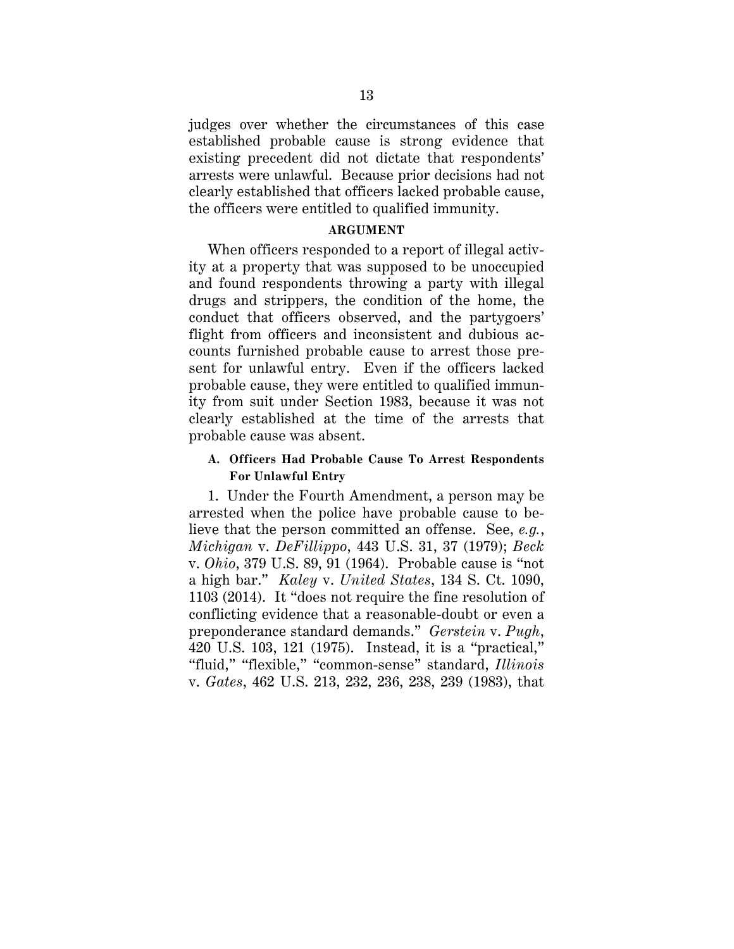judges over whether the circumstances of this case established probable cause is strong evidence that existing precedent did not dictate that respondents' arrests were unlawful. Because prior decisions had not clearly established that officers lacked probable cause, the officers were entitled to qualified immunity.

## **ARGUMENT**

When officers responded to a report of illegal activity at a property that was supposed to be unoccupied and found respondents throwing a party with illegal drugs and strippers, the condition of the home, the conduct that officers observed, and the partygoers' flight from officers and inconsistent and dubious accounts furnished probable cause to arrest those present for unlawful entry. Even if the officers lacked probable cause, they were entitled to qualified immunity from suit under Section 1983, because it was not clearly established at the time of the arrests that probable cause was absent.

# **A. Officers Had Probable Cause To Arrest Respondents For Unlawful Entry**

1. Under the Fourth Amendment, a person may be arrested when the police have probable cause to believe that the person committed an offense. See, *e.g.*, *Michigan* v. *DeFillippo*, 443 U.S. 31, 37 (1979); *Beck*  v. *Ohio*, 379 U.S. 89, 91 (1964). Probable cause is "not a high bar." *Kaley* v. *United States*, 134 S. Ct. 1090, 1103 (2014). It "does not require the fine resolution of conflicting evidence that a reasonable-doubt or even a preponderance standard demands." *Gerstein* v. *Pugh*, 420 U.S. 103, 121 (1975). Instead, it is a "practical," "fluid," "flexible," "common-sense" standard, *Illinois*  v. *Gates*, 462 U.S. 213, 232, 236, 238, 239 (1983), that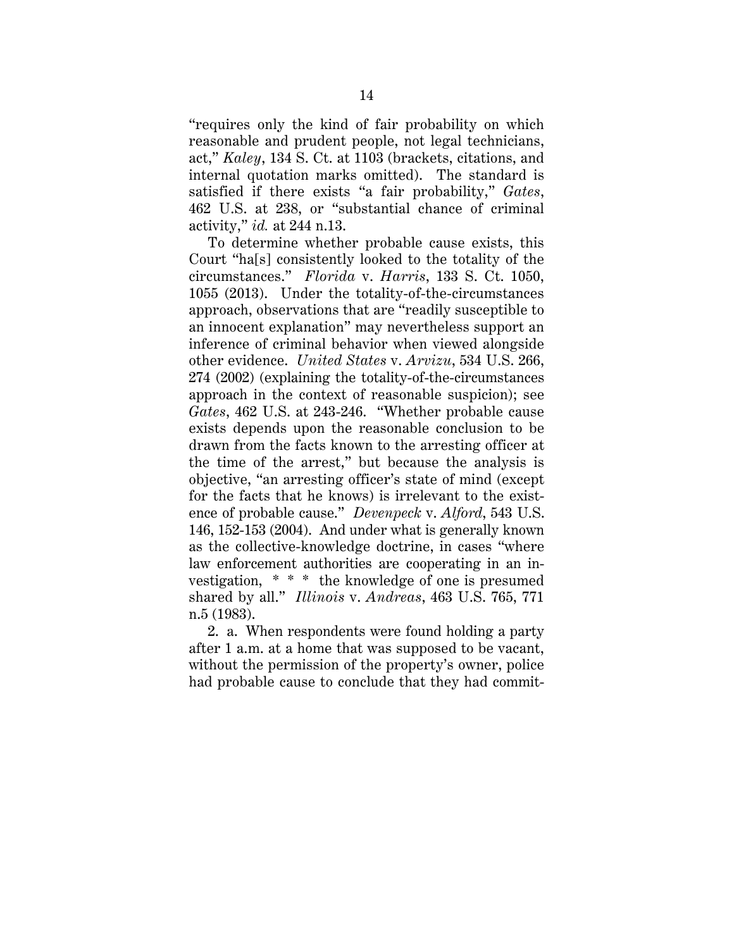"requires only the kind of fair probability on which reasonable and prudent people, not legal technicians, act," *Kaley*, 134 S. Ct. at 1103 (brackets, citations, and internal quotation marks omitted). The standard is satisfied if there exists "a fair probability," *Gates*, 462 U.S. at 238, or "substantial chance of criminal activity," *id.* at 244 n.13.

To determine whether probable cause exists, this Court "ha[s] consistently looked to the totality of the circumstances." *Florida* v. *Harris*, 133 S. Ct. 1050, 1055 (2013). Under the totality-of-the-circumstances approach, observations that are "readily susceptible to an innocent explanation" may nevertheless support an inference of criminal behavior when viewed alongside other evidence. *United States* v. *Arvizu*, 534 U.S. 266, 274 (2002) (explaining the totality-of-the-circumstances approach in the context of reasonable suspicion); see *Gates*, 462 U.S. at 243-246. "Whether probable cause exists depends upon the reasonable conclusion to be drawn from the facts known to the arresting officer at the time of the arrest," but because the analysis is objective, "an arresting officer's state of mind (except for the facts that he knows) is irrelevant to the existence of probable cause." *Devenpeck* v. *Alford*, 543 U.S. 146, 152-153 (2004). And under what is generally known as the collective-knowledge doctrine, in cases "where law enforcement authorities are cooperating in an investigation, \* \* \* the knowledge of one is presumed shared by all." *Illinois* v. *Andreas*, 463 U.S. 765, 771 n.5 (1983).

2. a. When respondents were found holding a party after 1 a.m. at a home that was supposed to be vacant, without the permission of the property's owner, police had probable cause to conclude that they had commit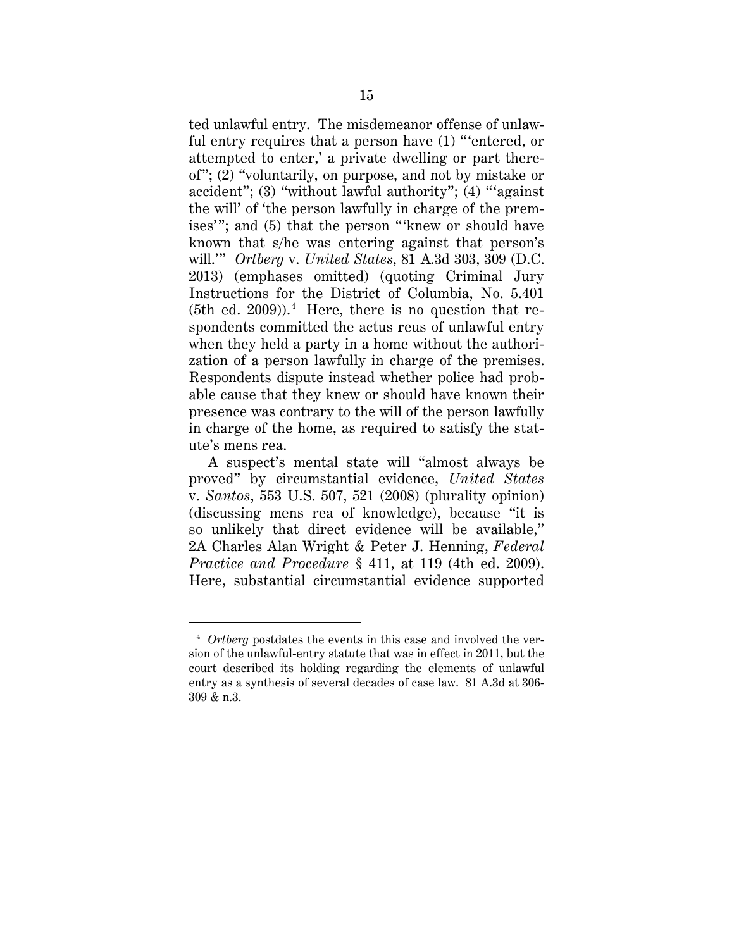ted unlawful entry. The misdemeanor offense of unlawful entry requires that a person have (1) "'entered, or attempted to enter,' a private dwelling or part thereof"; (2) "voluntarily, on purpose, and not by mistake or accident"; (3) "without lawful authority"; (4) "'against the will' of 'the person lawfully in charge of the premises'"; and (5) that the person "'knew or should have known that s/he was entering against that person's will.'" *Ortberg* v. *United States*, 81 A.3d 303, 309 (D.C. 2013) (emphases omitted) (quoting Criminal Jury Instructions for the District of Columbia, No. 5.401  $(5th$  ed.  $2009)$ ).<sup>4</sup> Here, there is no question that respondents committed the actus reus of unlawful entry when they held a party in a home without the authorization of a person lawfully in charge of the premises. Respondents dispute instead whether police had probable cause that they knew or should have known their presence was contrary to the will of the person lawfully in charge of the home, as required to satisfy the statute's mens rea.

A suspect's mental state will "almost always be proved" by circumstantial evidence, *United States*  v. *Santos*, 553 U.S. 507, 521 (2008) (plurality opinion) (discussing mens rea of knowledge), because "it is so unlikely that direct evidence will be available," 2A Charles Alan Wright & Peter J. Henning, *Federal Practice and Procedure* § 411, at 119 (4th ed. 2009). Here, substantial circumstantial evidence supported

 $\overline{a}$ 

<sup>4</sup> *Ortberg* postdates the events in this case and involved the version of the unlawful-entry statute that was in effect in 2011, but the court described its holding regarding the elements of unlawful entry as a synthesis of several decades of case law. 81 A.3d at 306- 309 & n.3.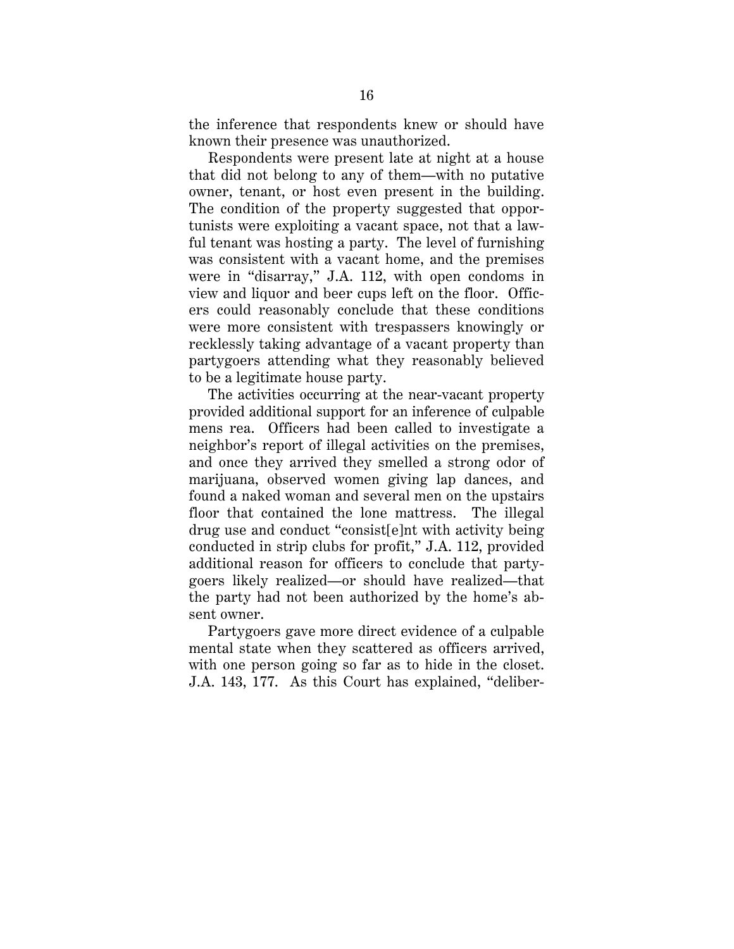the inference that respondents knew or should have known their presence was unauthorized.

Respondents were present late at night at a house that did not belong to any of them—with no putative owner, tenant, or host even present in the building. The condition of the property suggested that opportunists were exploiting a vacant space, not that a lawful tenant was hosting a party. The level of furnishing was consistent with a vacant home, and the premises were in "disarray," J.A. 112, with open condoms in view and liquor and beer cups left on the floor. Officers could reasonably conclude that these conditions were more consistent with trespassers knowingly or recklessly taking advantage of a vacant property than partygoers attending what they reasonably believed to be a legitimate house party.

The activities occurring at the near-vacant property provided additional support for an inference of culpable mens rea. Officers had been called to investigate a neighbor's report of illegal activities on the premises, and once they arrived they smelled a strong odor of marijuana, observed women giving lap dances, and found a naked woman and several men on the upstairs floor that contained the lone mattress. The illegal drug use and conduct "consist[e]nt with activity being conducted in strip clubs for profit," J.A. 112, provided additional reason for officers to conclude that partygoers likely realized—or should have realized—that the party had not been authorized by the home's absent owner.

Partygoers gave more direct evidence of a culpable mental state when they scattered as officers arrived, with one person going so far as to hide in the closet. J.A. 143, 177. As this Court has explained, "deliber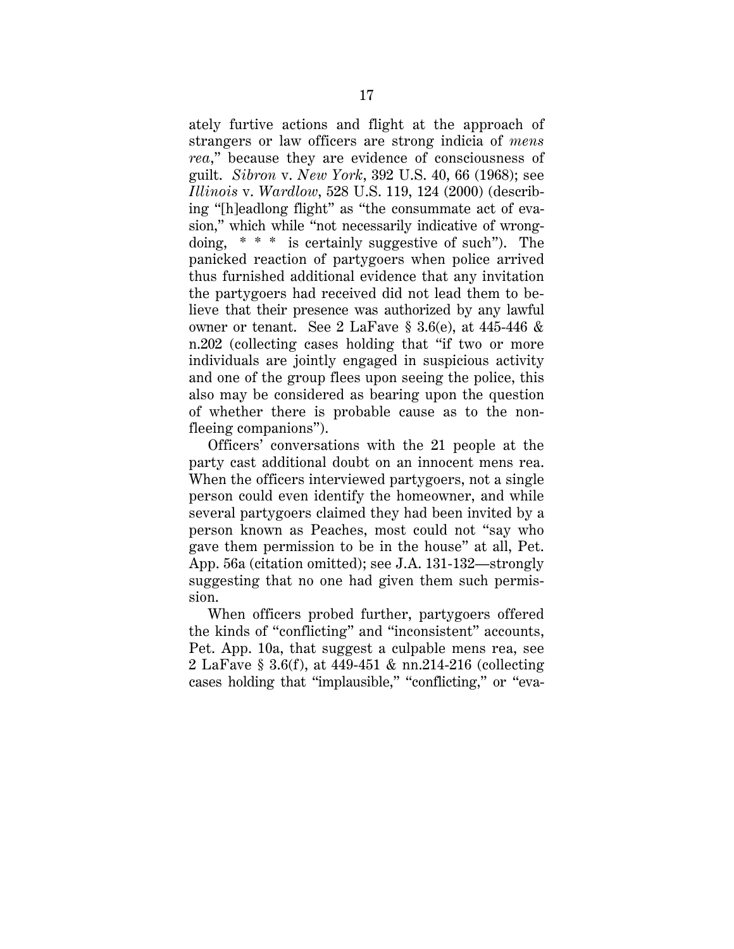ately furtive actions and flight at the approach of strangers or law officers are strong indicia of *mens rea*," because they are evidence of consciousness of guilt. *Sibron* v. *New York*, 392 U.S. 40, 66 (1968); see *Illinois* v. *Wardlow*, 528 U.S. 119, 124 (2000) (describing "[h]eadlong flight" as "the consummate act of evasion," which while "not necessarily indicative of wrongdoing, \* \* \* is certainly suggestive of such"). The panicked reaction of partygoers when police arrived thus furnished additional evidence that any invitation the partygoers had received did not lead them to believe that their presence was authorized by any lawful owner or tenant. See 2 LaFave § 3.6(e), at 445-446 & n.202 (collecting cases holding that "if two or more individuals are jointly engaged in suspicious activity and one of the group flees upon seeing the police, this also may be considered as bearing upon the question of whether there is probable cause as to the nonfleeing companions").

Officers' conversations with the 21 people at the party cast additional doubt on an innocent mens rea. When the officers interviewed partygoers, not a single person could even identify the homeowner, and while several partygoers claimed they had been invited by a person known as Peaches, most could not "say who gave them permission to be in the house" at all, Pet. App. 56a (citation omitted); see J.A. 131-132—strongly suggesting that no one had given them such permission.

When officers probed further, partygoers offered the kinds of "conflicting" and "inconsistent" accounts, Pet. App. 10a, that suggest a culpable mens rea, see 2 LaFave § 3.6(f), at 449-451 & nn.214-216 (collecting cases holding that "implausible," "conflicting," or "eva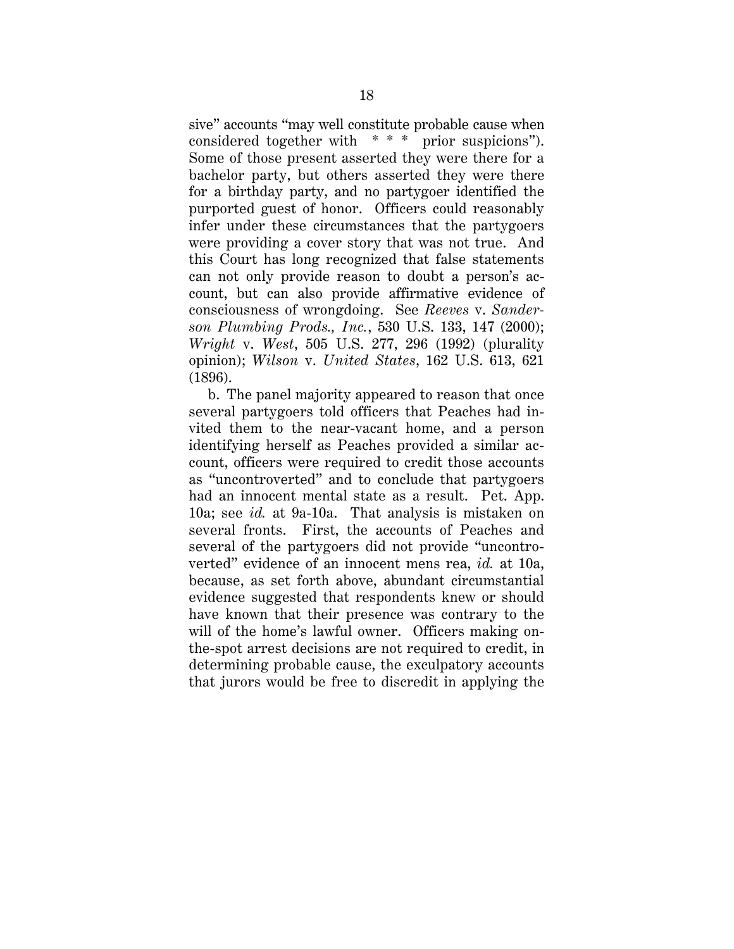sive" accounts "may well constitute probable cause when considered together with \* \* \* prior suspicions"). Some of those present asserted they were there for a bachelor party, but others asserted they were there for a birthday party, and no partygoer identified the purported guest of honor. Officers could reasonably infer under these circumstances that the partygoers were providing a cover story that was not true. And this Court has long recognized that false statements can not only provide reason to doubt a person's account, but can also provide affirmative evidence of consciousness of wrongdoing. See *Reeves* v. *Sanderson Plumbing Prods., Inc.*, 530 U.S. 133, 147 (2000); *Wright* v. *West*, 505 U.S. 277, 296 (1992) (plurality opinion); *Wilson* v. *United States*, 162 U.S. 613, 621 (1896).

b. The panel majority appeared to reason that once several partygoers told officers that Peaches had invited them to the near-vacant home, and a person identifying herself as Peaches provided a similar account, officers were required to credit those accounts as "uncontroverted" and to conclude that partygoers had an innocent mental state as a result. Pet. App. 10a; see *id.* at 9a-10a. That analysis is mistaken on several fronts. First, the accounts of Peaches and several of the partygoers did not provide "uncontroverted" evidence of an innocent mens rea, *id.* at 10a, because, as set forth above, abundant circumstantial evidence suggested that respondents knew or should have known that their presence was contrary to the will of the home's lawful owner. Officers making onthe-spot arrest decisions are not required to credit, in determining probable cause, the exculpatory accounts that jurors would be free to discredit in applying the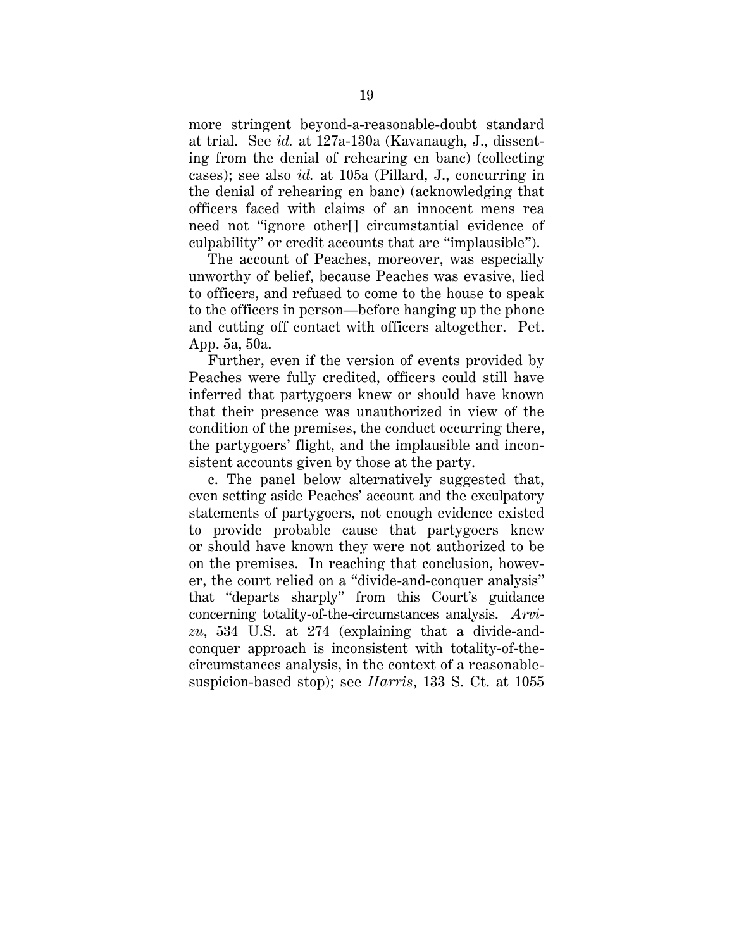more stringent beyond-a-reasonable-doubt standard at trial. See *id.* at 127a-130a (Kavanaugh, J., dissenting from the denial of rehearing en banc) (collecting cases); see also *id.* at 105a (Pillard, J., concurring in the denial of rehearing en banc) (acknowledging that officers faced with claims of an innocent mens rea need not "ignore other[] circumstantial evidence of culpability" or credit accounts that are "implausible").

The account of Peaches, moreover, was especially unworthy of belief, because Peaches was evasive, lied to officers, and refused to come to the house to speak to the officers in person—before hanging up the phone and cutting off contact with officers altogether. Pet. App. 5a, 50a.

Further, even if the version of events provided by Peaches were fully credited, officers could still have inferred that partygoers knew or should have known that their presence was unauthorized in view of the condition of the premises, the conduct occurring there, the partygoers' flight, and the implausible and inconsistent accounts given by those at the party.

c. The panel below alternatively suggested that, even setting aside Peaches' account and the exculpatory statements of partygoers, not enough evidence existed to provide probable cause that partygoers knew or should have known they were not authorized to be on the premises. In reaching that conclusion, however, the court relied on a "divide-and-conquer analysis" that "departs sharply" from this Court's guidance concerning totality-of-the-circumstances analysis. *Arvizu*, 534 U.S. at 274 (explaining that a divide-andconquer approach is inconsistent with totality-of-thecircumstances analysis, in the context of a reasonablesuspicion-based stop); see *Harris*, 133 S. Ct. at 1055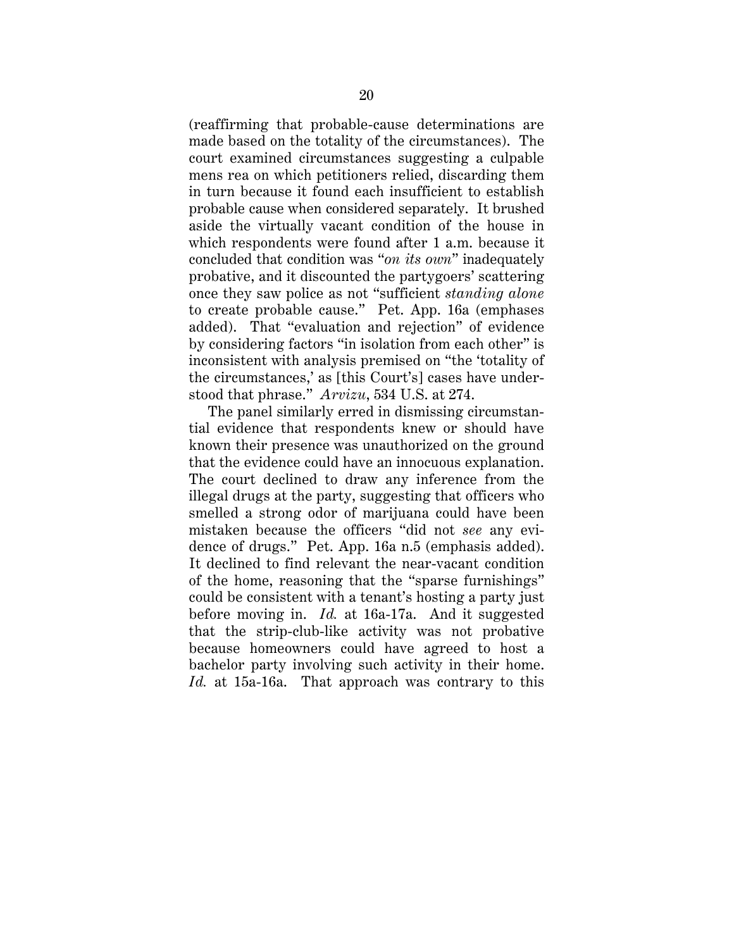(reaffirming that probable-cause determinations are made based on the totality of the circumstances). The court examined circumstances suggesting a culpable mens rea on which petitioners relied, discarding them in turn because it found each insufficient to establish probable cause when considered separately. It brushed aside the virtually vacant condition of the house in which respondents were found after 1 a.m. because it concluded that condition was "*on its own*" inadequately probative, and it discounted the partygoers' scattering once they saw police as not "sufficient *standing alone* to create probable cause." Pet. App. 16a (emphases added). That "evaluation and rejection" of evidence by considering factors "in isolation from each other" is inconsistent with analysis premised on "the 'totality of the circumstances,' as [this Court's] cases have understood that phrase." *Arvizu*, 534 U.S. at 274.

The panel similarly erred in dismissing circumstantial evidence that respondents knew or should have known their presence was unauthorized on the ground that the evidence could have an innocuous explanation. The court declined to draw any inference from the illegal drugs at the party, suggesting that officers who smelled a strong odor of marijuana could have been mistaken because the officers "did not *see* any evidence of drugs." Pet. App. 16a n.5 (emphasis added). It declined to find relevant the near-vacant condition of the home, reasoning that the "sparse furnishings" could be consistent with a tenant's hosting a party just before moving in. *Id.* at 16a-17a. And it suggested that the strip-club-like activity was not probative because homeowners could have agreed to host a bachelor party involving such activity in their home. *Id.* at 15a-16a. That approach was contrary to this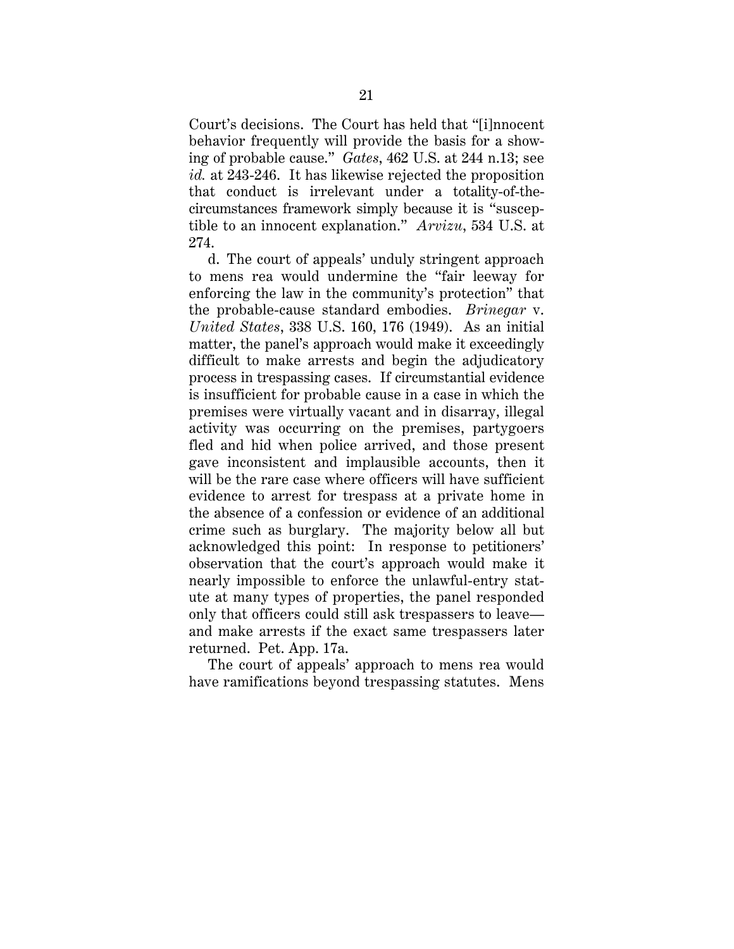Court's decisions. The Court has held that "[i]nnocent behavior frequently will provide the basis for a showing of probable cause." *Gates*, 462 U.S. at 244 n.13; see *id.* at 243-246. It has likewise rejected the proposition that conduct is irrelevant under a totality-of-thecircumstances framework simply because it is "susceptible to an innocent explanation." *Arvizu*, 534 U.S. at 274.

d. The court of appeals' unduly stringent approach to mens rea would undermine the "fair leeway for enforcing the law in the community's protection" that the probable-cause standard embodies. *Brinegar* v. *United States*, 338 U.S. 160, 176 (1949). As an initial matter, the panel's approach would make it exceedingly difficult to make arrests and begin the adjudicatory process in trespassing cases. If circumstantial evidence is insufficient for probable cause in a case in which the premises were virtually vacant and in disarray, illegal activity was occurring on the premises, partygoers fled and hid when police arrived, and those present gave inconsistent and implausible accounts, then it will be the rare case where officers will have sufficient evidence to arrest for trespass at a private home in the absence of a confession or evidence of an additional crime such as burglary. The majority below all but acknowledged this point: In response to petitioners' observation that the court's approach would make it nearly impossible to enforce the unlawful-entry statute at many types of properties, the panel responded only that officers could still ask trespassers to leave and make arrests if the exact same trespassers later returned. Pet. App. 17a.

The court of appeals' approach to mens rea would have ramifications beyond trespassing statutes. Mens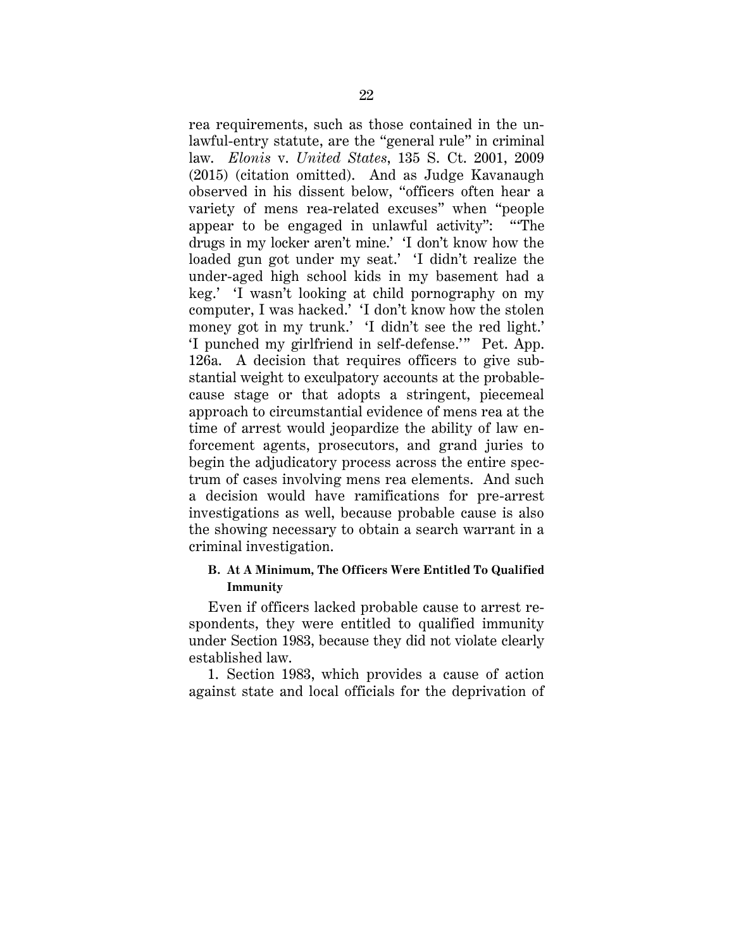rea requirements, such as those contained in the unlawful-entry statute, are the "general rule" in criminal law. *Elonis* v. *United States*, 135 S. Ct. 2001, 2009 (2015) (citation omitted). And as Judge Kavanaugh observed in his dissent below, "officers often hear a variety of mens rea-related excuses" when "people appear to be engaged in unlawful activity": "'The drugs in my locker aren't mine.' 'I don't know how the loaded gun got under my seat.' 'I didn't realize the under-aged high school kids in my basement had a keg.' 'I wasn't looking at child pornography on my computer, I was hacked.' 'I don't know how the stolen money got in my trunk.' 'I didn't see the red light.' 'I punched my girlfriend in self-defense.'" Pet. App. 126a. A decision that requires officers to give substantial weight to exculpatory accounts at the probablecause stage or that adopts a stringent, piecemeal approach to circumstantial evidence of mens rea at the time of arrest would jeopardize the ability of law enforcement agents, prosecutors, and grand juries to begin the adjudicatory process across the entire spectrum of cases involving mens rea elements. And such a decision would have ramifications for pre-arrest investigations as well, because probable cause is also the showing necessary to obtain a search warrant in a criminal investigation.

# **B. At A Minimum, The Officers Were Entitled To Qualified Immunity**

Even if officers lacked probable cause to arrest respondents, they were entitled to qualified immunity under Section 1983, because they did not violate clearly established law.

1. Section 1983, which provides a cause of action against state and local officials for the deprivation of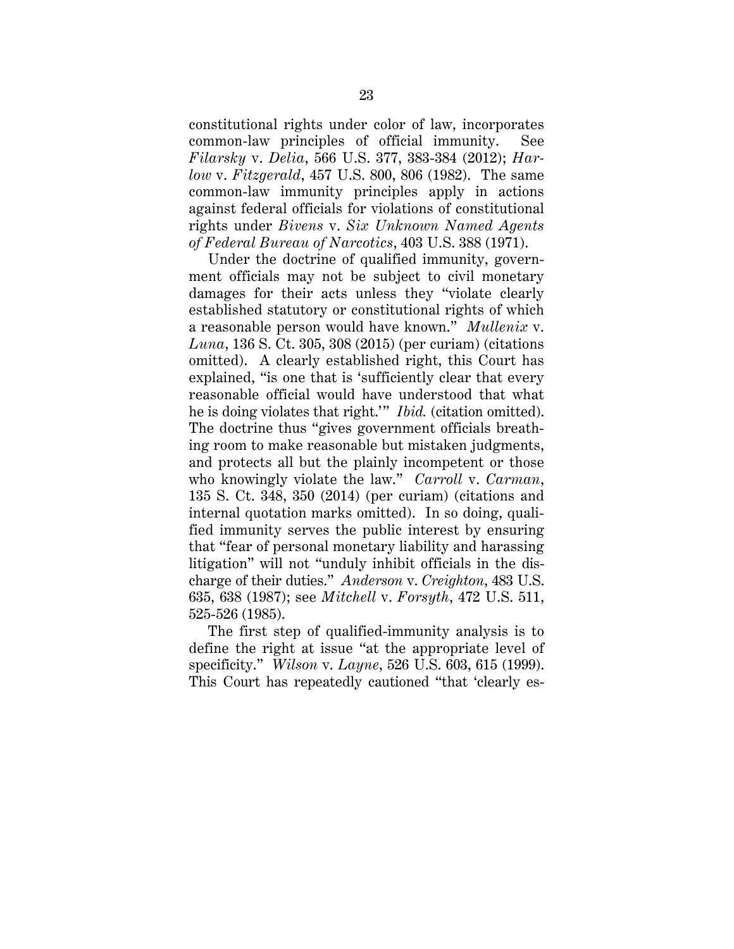constitutional rights under color of law, incorporates common-law principles of official immunity. See *Filarsky* v. *Delia*, 566 U.S. 377, 383-384 (2012); *Harlow* v. *Fitzgerald*, 457 U.S. 800, 806 (1982). The same common-law immunity principles apply in actions against federal officials for violations of constitutional rights under *Bivens* v. *Six Unknown Named Agents of Federal Bureau of Narcotics*, 403 U.S. 388 (1971).

Under the doctrine of qualified immunity, government officials may not be subject to civil monetary damages for their acts unless they "violate clearly established statutory or constitutional rights of which a reasonable person would have known." *Mullenix* v. *Luna*, 136 S. Ct. 305, 308 (2015) (per curiam) (citations omitted). A clearly established right, this Court has explained, "is one that is 'sufficiently clear that every reasonable official would have understood that what he is doing violates that right.'" *Ibid.* (citation omitted). The doctrine thus "gives government officials breathing room to make reasonable but mistaken judgments, and protects all but the plainly incompetent or those who knowingly violate the law." *Carroll* v. *Carman*, 135 S. Ct. 348, 350 (2014) (per curiam) (citations and internal quotation marks omitted). In so doing, qualified immunity serves the public interest by ensuring that "fear of personal monetary liability and harassing litigation" will not "unduly inhibit officials in the discharge of their duties." *Anderson* v. *Creighton*, 483 U.S. 635, 638 (1987); see *Mitchell* v. *Forsyth*, 472 U.S. 511, 525-526 (1985).

The first step of qualified-immunity analysis is to define the right at issue "at the appropriate level of specificity." *Wilson* v. *Layne*, 526 U.S. 603, 615 (1999). This Court has repeatedly cautioned "that 'clearly es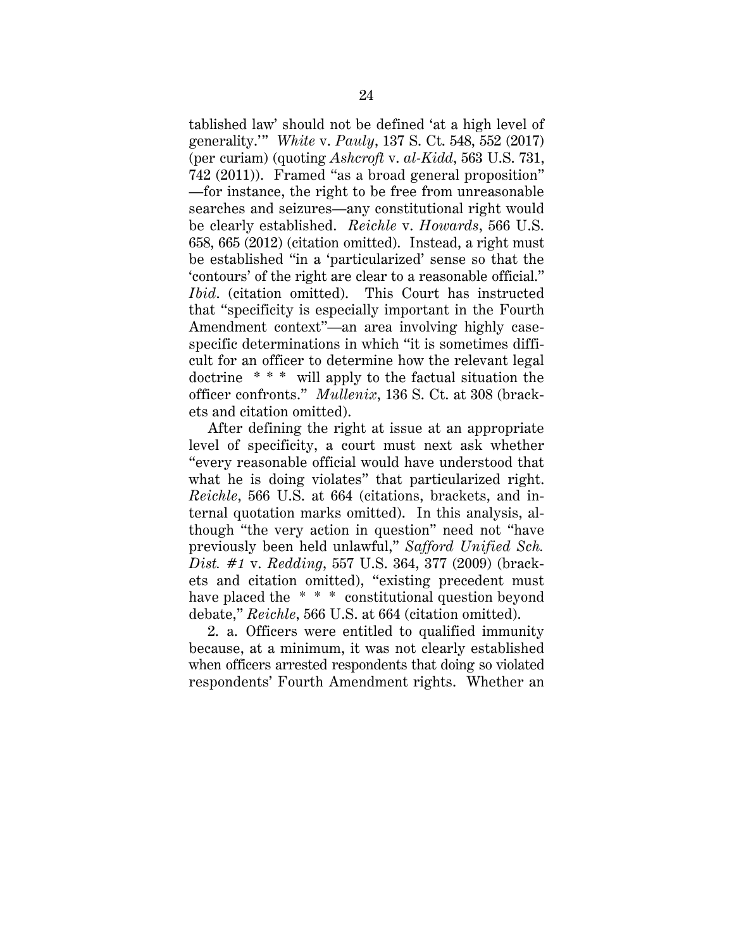tablished law' should not be defined 'at a high level of generality.'" *White* v. *Pauly*, 137 S. Ct. 548, 552 (2017) (per curiam) (quoting *Ashcroft* v. *al-Kidd*, 563 U.S. 731, 742 (2011)). Framed "as a broad general proposition" —for instance, the right to be free from unreasonable searches and seizures—any constitutional right would be clearly established. *Reichle* v. *Howards*, 566 U.S. 658, 665 (2012) (citation omitted). Instead, a right must be established "in a 'particularized' sense so that the 'contours' of the right are clear to a reasonable official." *Ibid*. (citation omitted). This Court has instructed that "specificity is especially important in the Fourth Amendment context"—an area involving highly casespecific determinations in which "it is sometimes difficult for an officer to determine how the relevant legal doctrine \* \* \* will apply to the factual situation the officer confronts." *Mullenix*, 136 S. Ct. at 308 (brackets and citation omitted).

After defining the right at issue at an appropriate level of specificity, a court must next ask whether "every reasonable official would have understood that what he is doing violates" that particularized right. *Reichle*, 566 U.S. at 664 (citations, brackets, and internal quotation marks omitted). In this analysis, although "the very action in question" need not "have previously been held unlawful," *Safford Unified Sch. Dist. #1* v. *Redding*, 557 U.S. 364, 377 (2009) (brackets and citation omitted), "existing precedent must have placed the \* \* \* constitutional question beyond debate," *Reichle*, 566 U.S. at 664 (citation omitted).

2. a. Officers were entitled to qualified immunity because, at a minimum, it was not clearly established when officers arrested respondents that doing so violated respondents' Fourth Amendment rights. Whether an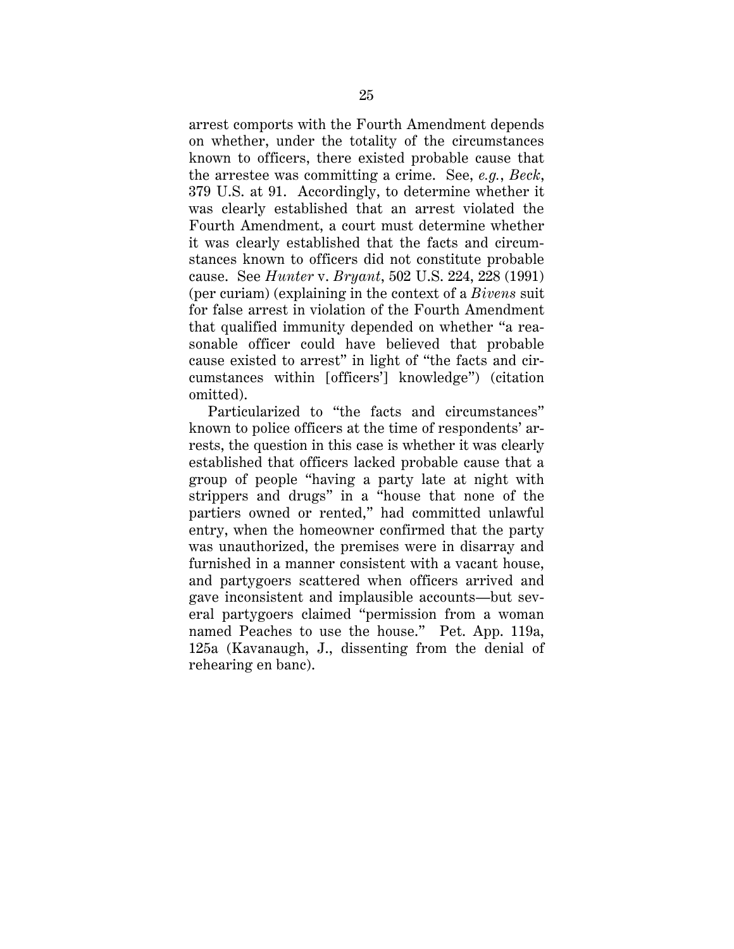arrest comports with the Fourth Amendment depends on whether, under the totality of the circumstances known to officers, there existed probable cause that the arrestee was committing a crime. See, *e.g.*, *Beck*, 379 U.S. at 91. Accordingly, to determine whether it was clearly established that an arrest violated the Fourth Amendment, a court must determine whether it was clearly established that the facts and circumstances known to officers did not constitute probable cause. See *Hunter* v. *Bryant*, 502 U.S. 224, 228 (1991) (per curiam) (explaining in the context of a *Bivens* suit for false arrest in violation of the Fourth Amendment that qualified immunity depended on whether "a reasonable officer could have believed that probable cause existed to arrest" in light of "the facts and circumstances within [officers'] knowledge") (citation omitted).

Particularized to "the facts and circumstances" known to police officers at the time of respondents' arrests, the question in this case is whether it was clearly established that officers lacked probable cause that a group of people "having a party late at night with strippers and drugs" in a "house that none of the partiers owned or rented," had committed unlawful entry, when the homeowner confirmed that the party was unauthorized, the premises were in disarray and furnished in a manner consistent with a vacant house, and partygoers scattered when officers arrived and gave inconsistent and implausible accounts—but several partygoers claimed "permission from a woman named Peaches to use the house." Pet. App. 119a, 125a (Kavanaugh, J., dissenting from the denial of rehearing en banc).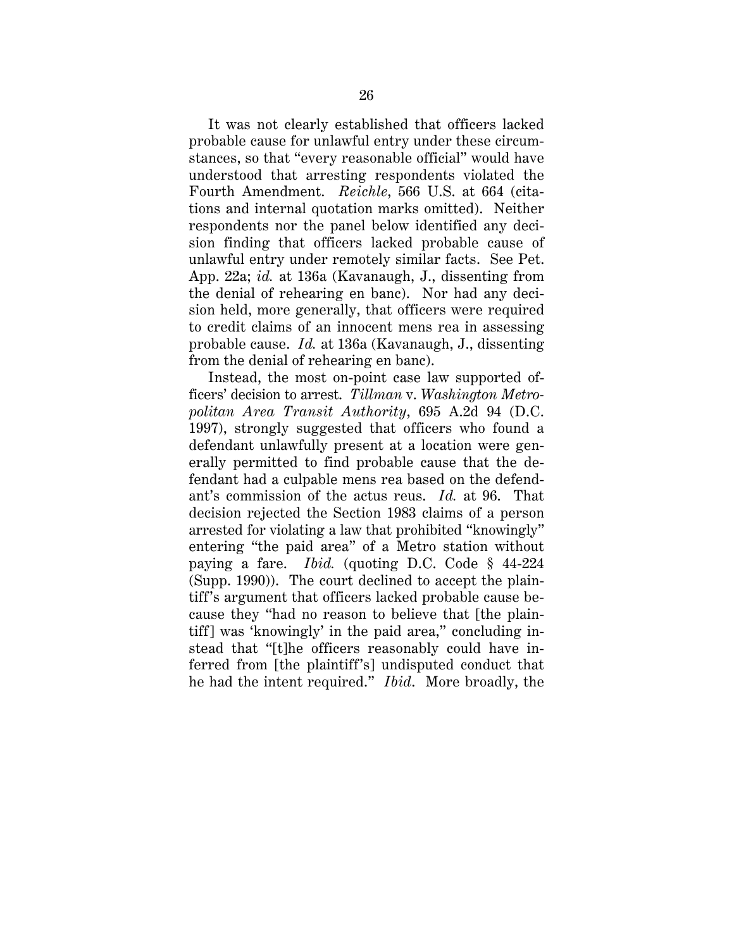It was not clearly established that officers lacked probable cause for unlawful entry under these circumstances, so that "every reasonable official" would have understood that arresting respondents violated the Fourth Amendment. *Reichle*, 566 U.S. at 664 (citations and internal quotation marks omitted). Neither respondents nor the panel below identified any decision finding that officers lacked probable cause of unlawful entry under remotely similar facts. See Pet. App. 22a; *id.* at 136a (Kavanaugh, J., dissenting from the denial of rehearing en banc). Nor had any decision held, more generally, that officers were required to credit claims of an innocent mens rea in assessing probable cause. *Id.* at 136a (Kavanaugh, J., dissenting from the denial of rehearing en banc).

Instead, the most on-point case law supported officers' decision to arrest. *Tillman* v. *Washington Metropolitan Area Transit Authority*, 695 A.2d 94 (D.C. 1997), strongly suggested that officers who found a defendant unlawfully present at a location were generally permitted to find probable cause that the defendant had a culpable mens rea based on the defendant's commission of the actus reus. *Id.* at 96. That decision rejected the Section 1983 claims of a person arrested for violating a law that prohibited "knowingly" entering "the paid area" of a Metro station without paying a fare. *Ibid.* (quoting D.C. Code § 44-224 (Supp. 1990)). The court declined to accept the plaintiff's argument that officers lacked probable cause because they "had no reason to believe that [the plaintiff] was 'knowingly' in the paid area," concluding instead that "[t]he officers reasonably could have inferred from [the plaintiff's] undisputed conduct that he had the intent required." *Ibid*. More broadly, the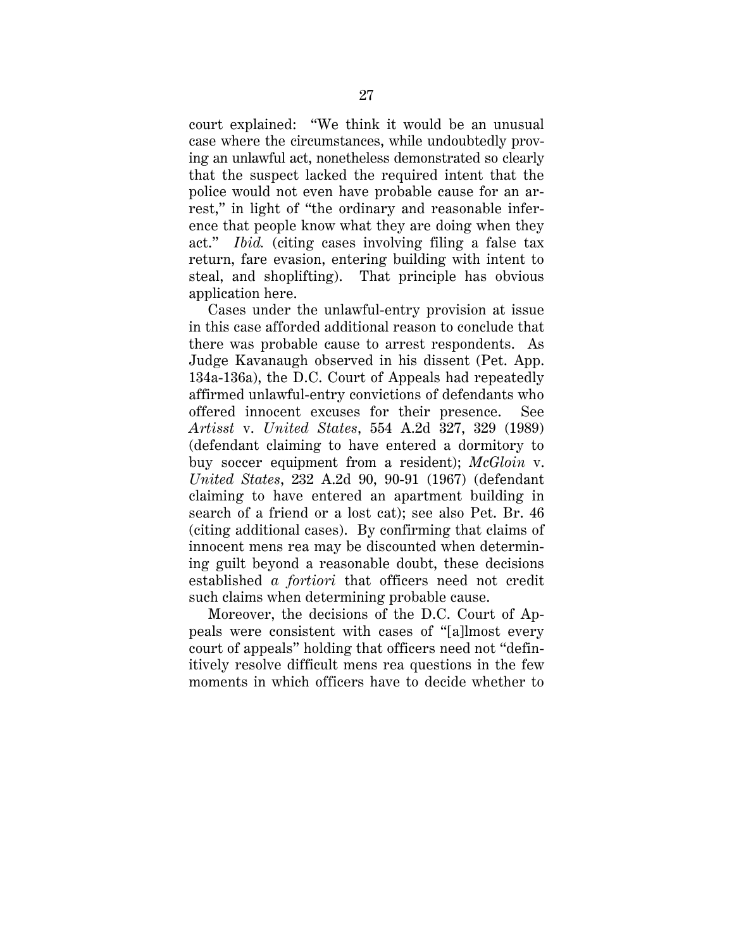court explained: "We think it would be an unusual case where the circumstances, while undoubtedly proving an unlawful act, nonetheless demonstrated so clearly that the suspect lacked the required intent that the police would not even have probable cause for an arrest," in light of "the ordinary and reasonable inference that people know what they are doing when they act." *Ibid.* (citing cases involving filing a false tax return, fare evasion, entering building with intent to steal, and shoplifting). That principle has obvious application here.

Cases under the unlawful-entry provision at issue in this case afforded additional reason to conclude that there was probable cause to arrest respondents. As Judge Kavanaugh observed in his dissent (Pet. App. 134a-136a), the D.C. Court of Appeals had repeatedly affirmed unlawful-entry convictions of defendants who offered innocent excuses for their presence. See *Artisst* v. *United States*, 554 A.2d 327, 329 (1989) (defendant claiming to have entered a dormitory to buy soccer equipment from a resident); *McGloin* v. *United States*, 232 A.2d 90, 90-91 (1967) (defendant claiming to have entered an apartment building in search of a friend or a lost cat); see also Pet. Br. 46 (citing additional cases). By confirming that claims of innocent mens rea may be discounted when determining guilt beyond a reasonable doubt, these decisions established *a fortiori* that officers need not credit such claims when determining probable cause.

Moreover, the decisions of the D.C. Court of Appeals were consistent with cases of "[a]lmost every court of appeals" holding that officers need not "definitively resolve difficult mens rea questions in the few moments in which officers have to decide whether to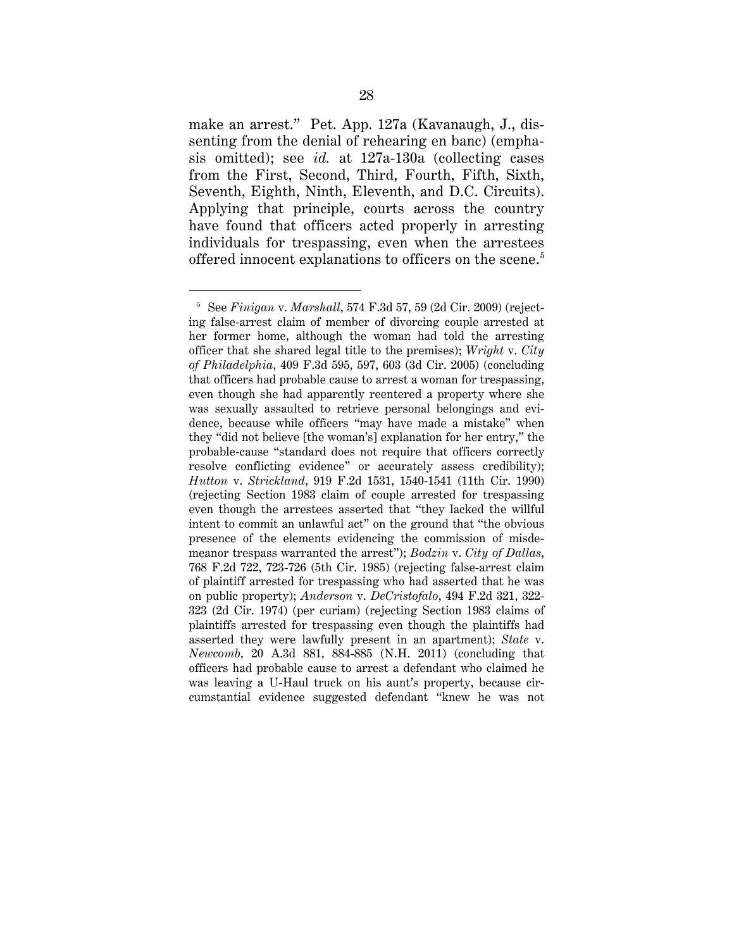make an arrest." Pet. App. 127a (Kavanaugh, J., dissenting from the denial of rehearing en banc) (emphasis omitted); see *id.* at 127a-130a (collecting cases from the First, Second, Third, Fourth, Fifth, Sixth, Seventh, Eighth, Ninth, Eleventh, and D.C. Circuits). Applying that principle, courts across the country have found that officers acted properly in arresting individuals for trespassing, even when the arrestees offered innocent explanations to officers on the scene. 5

 $\ddot{\phantom{a}}$ 

<sup>5</sup> See *Finigan* v. *Marshall*, 574 F.3d 57, 59 (2d Cir. 2009) (rejecting false-arrest claim of member of divorcing couple arrested at her former home, although the woman had told the arresting officer that she shared legal title to the premises); *Wright* v. *City of Philadelphia*, 409 F.3d 595, 597, 603 (3d Cir. 2005) (concluding that officers had probable cause to arrest a woman for trespassing, even though she had apparently reentered a property where she was sexually assaulted to retrieve personal belongings and evidence, because while officers "may have made a mistake" when they "did not believe [the woman's] explanation for her entry," the probable-cause "standard does not require that officers correctly resolve conflicting evidence" or accurately assess credibility); *Hutton* v. *Strickland*, 919 F.2d 1531, 1540-1541 (11th Cir. 1990) (rejecting Section 1983 claim of couple arrested for trespassing even though the arrestees asserted that "they lacked the willful intent to commit an unlawful act" on the ground that "the obvious presence of the elements evidencing the commission of misdemeanor trespass warranted the arrest"); *Bodzin* v. *City of Dallas*, 768 F.2d 722, 723-726 (5th Cir. 1985) (rejecting false-arrest claim of plaintiff arrested for trespassing who had asserted that he was on public property); *Anderson* v. *DeCristofalo*, 494 F.2d 321, 322- 323 (2d Cir. 1974) (per curiam) (rejecting Section 1983 claims of plaintiffs arrested for trespassing even though the plaintiffs had asserted they were lawfully present in an apartment); *State* v. *Newcomb*, 20 A.3d 881, 884-885 (N.H. 2011) (concluding that officers had probable cause to arrest a defendant who claimed he was leaving a U-Haul truck on his aunt's property, because circumstantial evidence suggested defendant "knew he was not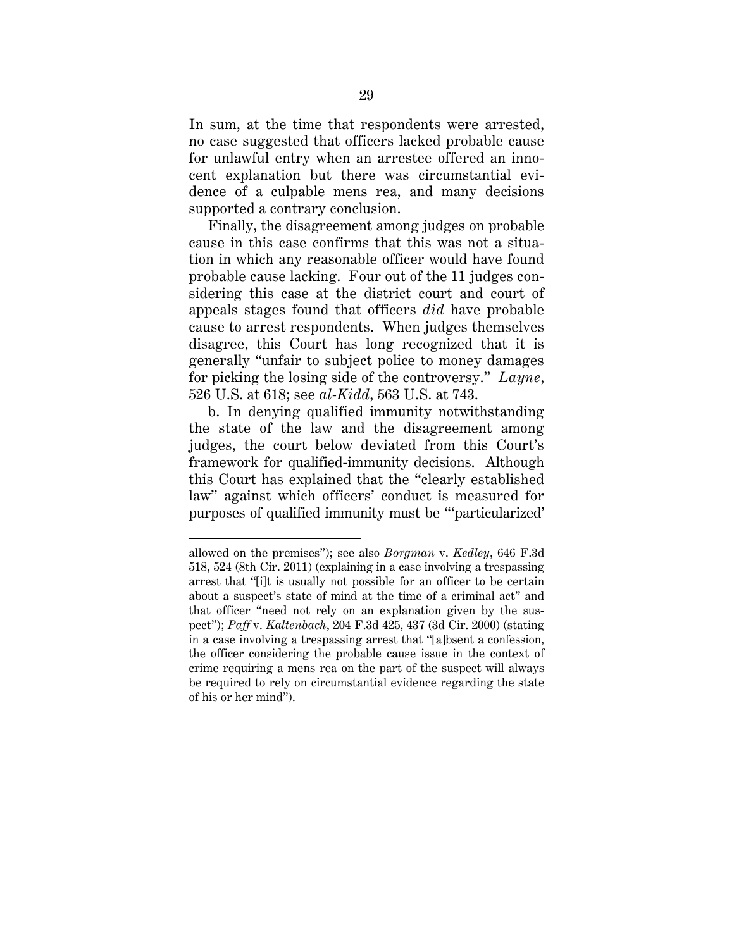In sum, at the time that respondents were arrested, no case suggested that officers lacked probable cause for unlawful entry when an arrestee offered an innocent explanation but there was circumstantial evidence of a culpable mens rea, and many decisions supported a contrary conclusion.

Finally, the disagreement among judges on probable cause in this case confirms that this was not a situation in which any reasonable officer would have found probable cause lacking. Four out of the 11 judges considering this case at the district court and court of appeals stages found that officers *did* have probable cause to arrest respondents. When judges themselves disagree, this Court has long recognized that it is generally "unfair to subject police to money damages for picking the losing side of the controversy." *Layne*, 526 U.S. at 618; see *al-Kidd*, 563 U.S. at 743.

b. In denying qualified immunity notwithstanding the state of the law and the disagreement among judges, the court below deviated from this Court's framework for qualified-immunity decisions. Although this Court has explained that the "clearly established law" against which officers' conduct is measured for purposes of qualified immunity must be "'particularized'

 $\ddot{\phantom{a}}$ 

allowed on the premises"); see also *Borgman* v. *Kedley*, 646 F.3d 518, 524 (8th Cir. 2011) (explaining in a case involving a trespassing arrest that "[i]t is usually not possible for an officer to be certain about a suspect's state of mind at the time of a criminal act" and that officer "need not rely on an explanation given by the suspect"); *Paff* v. *Kaltenbach*, 204 F.3d 425, 437 (3d Cir. 2000) (stating in a case involving a trespassing arrest that "[a]bsent a confession, the officer considering the probable cause issue in the context of crime requiring a mens rea on the part of the suspect will always be required to rely on circumstantial evidence regarding the state of his or her mind").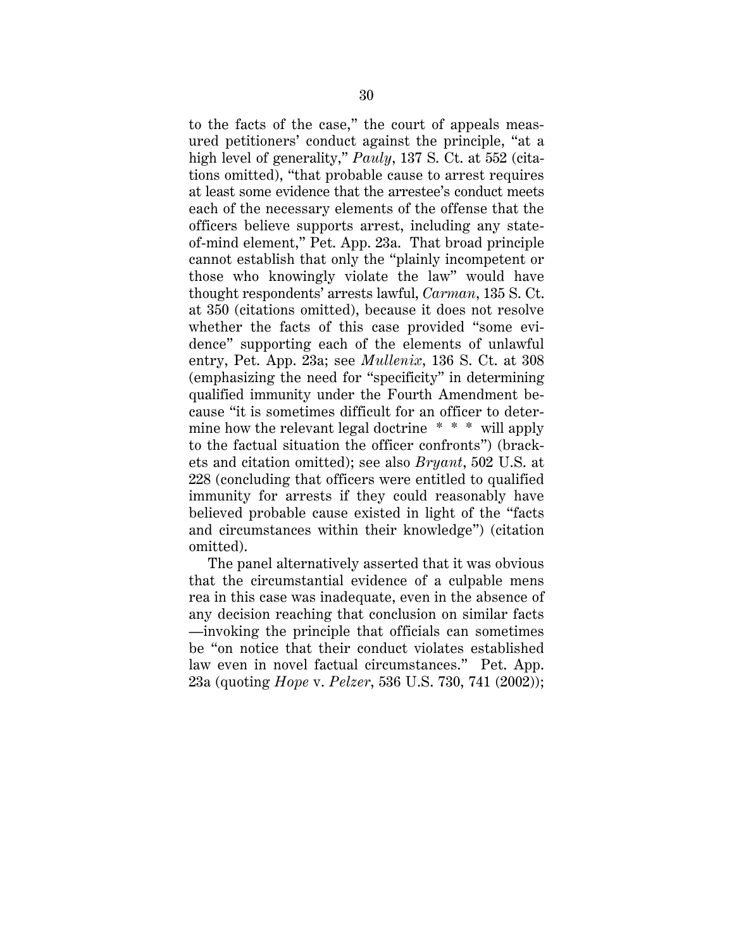to the facts of the case," the court of appeals measured petitioners' conduct against the principle, "at a high level of generality," *Pauly*, 137 S. Ct. at 552 (citations omitted), "that probable cause to arrest requires at least some evidence that the arrestee's conduct meets each of the necessary elements of the offense that the officers believe supports arrest, including any stateof-mind element," Pet. App. 23a. That broad principle cannot establish that only the "plainly incompetent or those who knowingly violate the law" would have thought respondents' arrests lawful, *Carman*, 135 S. Ct. at 350 (citations omitted), because it does not resolve whether the facts of this case provided "some evidence" supporting each of the elements of unlawful entry, Pet. App. 23a; see *Mullenix*, 136 S. Ct. at 308 (emphasizing the need for "specificity" in determining qualified immunity under the Fourth Amendment because "it is sometimes difficult for an officer to determine how the relevant legal doctrine \* \* \* will apply to the factual situation the officer confronts") (brackets and citation omitted); see also *Bryant*, 502 U.S. at 228 (concluding that officers were entitled to qualified immunity for arrests if they could reasonably have believed probable cause existed in light of the "facts and circumstances within their knowledge") (citation omitted).

The panel alternatively asserted that it was obvious that the circumstantial evidence of a culpable mens rea in this case was inadequate, even in the absence of any decision reaching that conclusion on similar facts —invoking the principle that officials can sometimes be "on notice that their conduct violates established law even in novel factual circumstances." Pet. App. 23a (quoting *Hope* v. *Pelzer*, 536 U.S. 730, 741 (2002));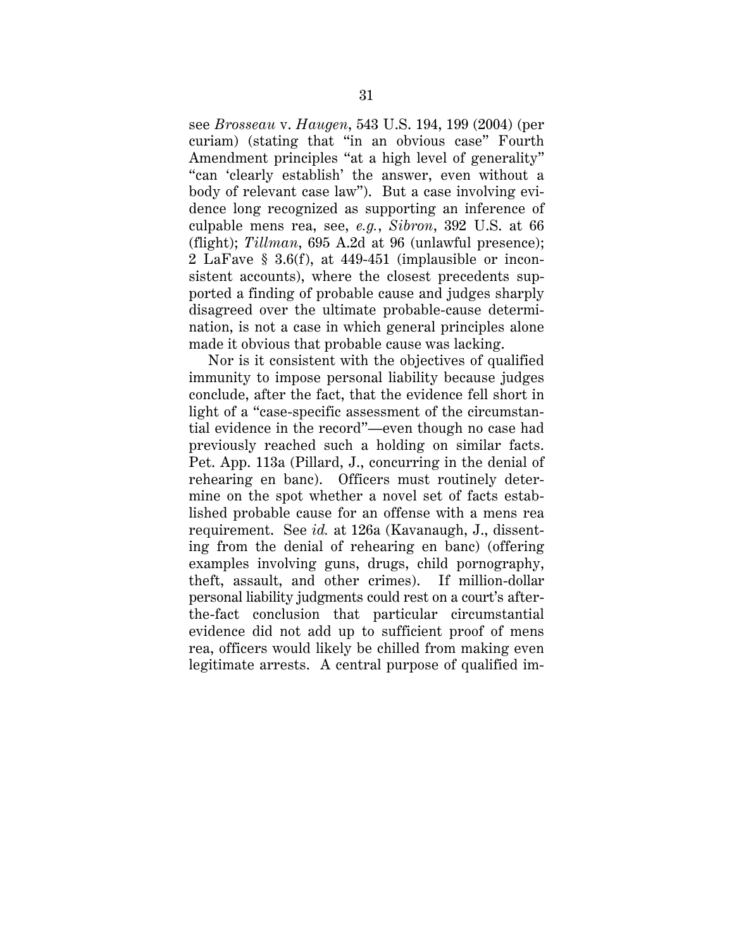see *Brosseau* v. *Haugen*, 543 U.S. 194, 199 (2004) (per curiam) (stating that "in an obvious case" Fourth Amendment principles "at a high level of generality" "can 'clearly establish' the answer, even without a body of relevant case law"). But a case involving evidence long recognized as supporting an inference of culpable mens rea, see, *e.g.*, *Sibron*, 392 U.S. at 66 (flight); *Tillman*, 695 A.2d at 96 (unlawful presence); 2 LaFave § 3.6(f), at 449-451 (implausible or inconsistent accounts), where the closest precedents supported a finding of probable cause and judges sharply disagreed over the ultimate probable-cause determination, is not a case in which general principles alone made it obvious that probable cause was lacking.

Nor is it consistent with the objectives of qualified immunity to impose personal liability because judges conclude, after the fact, that the evidence fell short in light of a "case-specific assessment of the circumstantial evidence in the record"—even though no case had previously reached such a holding on similar facts. Pet. App. 113a (Pillard, J., concurring in the denial of rehearing en banc). Officers must routinely determine on the spot whether a novel set of facts established probable cause for an offense with a mens rea requirement. See *id.* at 126a (Kavanaugh, J., dissenting from the denial of rehearing en banc) (offering examples involving guns, drugs, child pornography, theft, assault, and other crimes). If million-dollar personal liability judgments could rest on a court's afterthe-fact conclusion that particular circumstantial evidence did not add up to sufficient proof of mens rea, officers would likely be chilled from making even legitimate arrests. A central purpose of qualified im